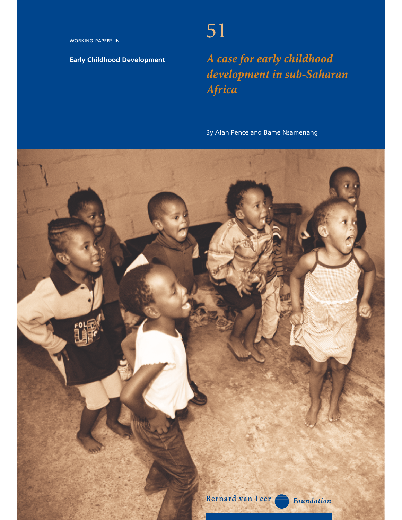WORKING PAPERS IN

# **Early Childhood Development**

# 51

*A case for early childhood development in sub-Saharan Africa*

By Alan Pence and Bame Nsamenang

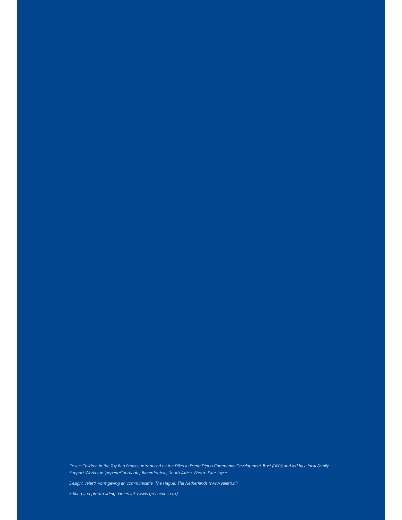*Cover: Children in the Toy Bag Project, introduced by the Diketso Eseng Dipuo Community Development Trust (DEDI) and led by a local Family Support Worker in Ipopeng/Tuurflagte, Bloemfontein, South Africa. Photo: Kate Joyce*

*Design: Valetti, vormgeving en communicatie, The Hague, The Netherlands (www.valetti.nl)*

*Editing and proofreading: Green Ink (www.greenink.co.uk)*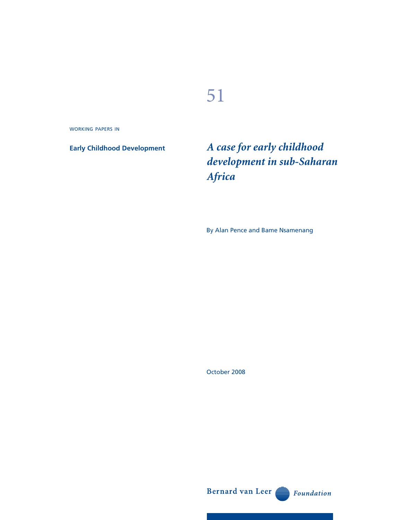# 51

WORKING PAPERS IN

**Early Childhood Development**

*A case for early childhood development in sub-Saharan Africa*

By Alan Pence and Bame Nsamenang

October 2008

Bernard van Leer

Foundation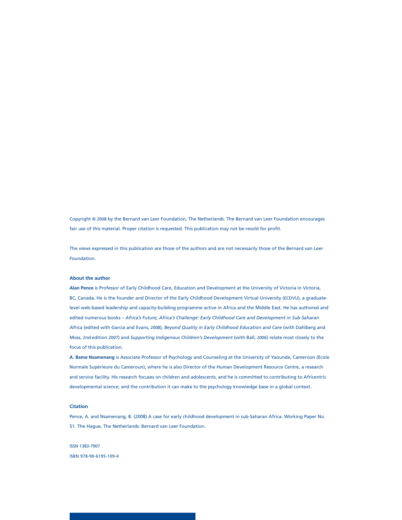Copyright © 2008 by the Bernard van Leer Foundation, The Netherlands. The Bernard van Leer Foundation encourages fair use of this material. Proper citation is requested. This publication may not be resold for profit.

The views expressed in this publication are those of the authors and are not necessarily those of the Bernard van Leer Foundation.

#### **About the author**

**Alan Pence** is Professor of Early Childhood Care, Education and Development at the University of Victoria in Victoria, BC, Canada. He is the founder and Director of the Early Childhood Development Virtual University (ECDVU), a graduatelevel web-based leadership and capacity-building programme active in Africa and the Middle East. He has authored and edited numerous books – *Africa's Future, Africa's Challenge: Early Childhood Care and Development in Sub-Saharan Africa* (edited with Garcia and Evans, 2008), *Beyond Quality in Early Childhood Education and Care* (with Dahlberg and Moss, 2nd edition 2007) and *Supporting Indigenous Children's Development* (with Ball, 2006) relate most closely to the focus of this publication.

**A. Bame Nsamenang** is Associate Professor of Psychology and Counseling at the University of Yaounde, Cameroon (Ecole Normale Supérieure du Cameroun), where he is also Director of the Human Development Resource Centre, a research and service facility. His research focuses on children and adolescents, and he is committed to contributing to Africentric developmental science, and the contribution it can make to the psychology knowledge base in a global context.

#### **Citation**

Pence, A. and Nsamenang, B. (2008) A case for early childhood development in sub-Saharan Africa. Working Paper No. 51. The Hague, The Netherlands: Bernard van Leer Foundation.

ISSN 1383-7907 ISBN 978-90-6195-109-4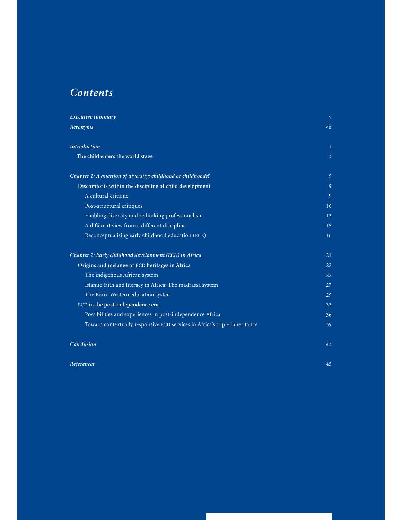# *Contents*

| Executive summary                                                          | V              |
|----------------------------------------------------------------------------|----------------|
| Acronyms                                                                   | vii            |
| <b>Introduction</b>                                                        | Т.             |
| The child enters the world stage                                           | $\overline{3}$ |
| Chapter 1: A question of diversity: childhood or childhoods?               | 9              |
| Discomforts within the discipline of child development                     | 9              |
| A cultural critique                                                        | 9              |
| Post-structural critiques                                                  | 10             |
| Enabling diversity and rethinking professionalism                          | 13             |
| A different view from a different discipline                               | 15             |
| Reconceptualising early childhood education (ECE)                          | 16             |
| Chapter 2: Early childhood development (ECD) in Africa                     | 21             |
| Origins and mélange of ECD heritages in Africa                             | 22             |
| The indigenous African system                                              | 22             |
| Islamic faith and literacy in Africa: The madrassa system                  | 27             |
| The Euro-Western education system                                          | 29             |
| ECD in the post-independence era                                           | 33             |
| Possibilities and experiences in post-independence Africa.                 | 36             |
| Toward contextually responsive ECD services in Africa's triple inheritance | 39             |
| Conclusion                                                                 | 43             |
| References                                                                 | 45             |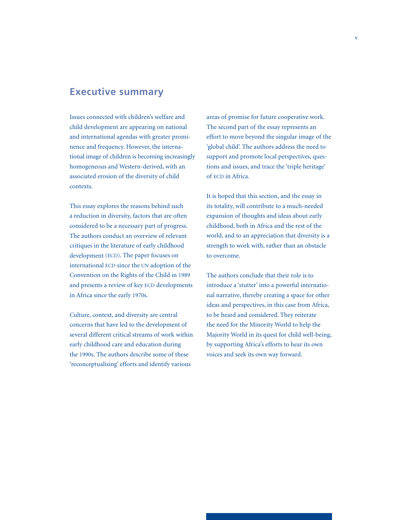# **Executive summary**

Issues connected with children's welfare and child development are appearing on national and international agendas with greater prominence and frequency. However, the international image of children is becoming increasingly homogeneous and Western-derived, with an associated erosion of the diversity of child contexts.

This essay explores the reasons behind such a reduction in diversity, factors that are often considered to be a necessary part of progress. The authors conduct an overview of relevant critiques in the literature of early childhood development (ECD). The paper focuses on international ECD since the UN adoption of the Convention on the Rights of the Child in 1989 and presents a review of key ECD developments in Africa since the early 1970s.

Culture, context, and diversity are central concerns that have led to the development of several different critical streams of work within early childhood care and education during the 1990s. The authors describe some of these 'reconceptualising' efforts and identify various

areas of promise for future cooperative work. The second part of the essay represents an effort to move beyond the singular image of the 'global child'. The authors address the need to support and promote local perspectives, questions and issues, and trace the 'triple heritage' of ECD in Africa.

It is hoped that this section, and the essay in its totality, will contribute to a much-needed expansion of thoughts and ideas about early childhood, both in Africa and the rest of the world, and to an appreciation that diversity is a strength to work with, rather than an obstacle to overcome.

The authors conclude that their role is to introduce a 'stutter' into a powerful international narrative, thereby creating a space for other ideas and perspectives, in this case from Africa, to be heard and considered. They reiterate the need for the Minority World to help the Majority World in its quest for child well-being, by supporting Africa's efforts to hear its own voices and seek its own way forward.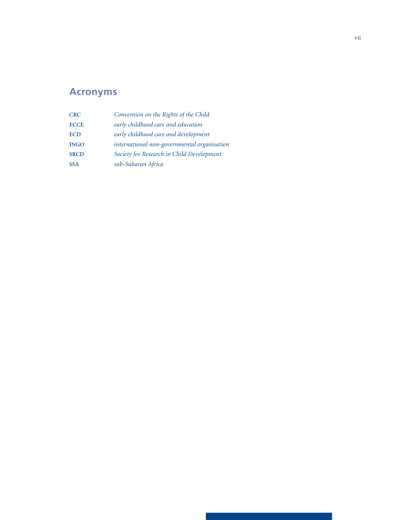# **Acronyms**

| <b>CRC</b>  | Convention on the Rights of the Child       |
|-------------|---------------------------------------------|
| <b>ECCE</b> | early childhood care and education          |
| <b>ECD</b>  | early childhood care and development        |
| <b>INGO</b> | international non-governmental organisation |
| <b>SRCD</b> | Society for Research in Child Development   |
| <b>SSA</b>  | sub-Saharan Africa                          |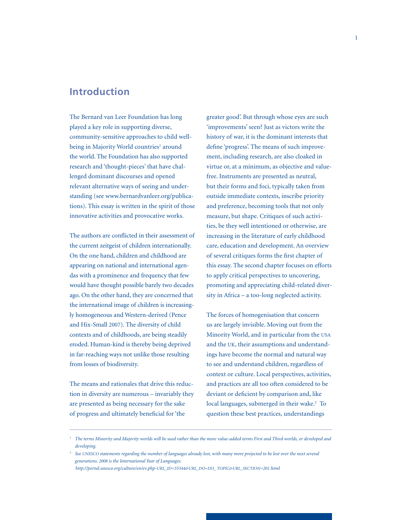# **Introduction**

The Bernard van Leer Foundation has long played a key role in supporting diverse, community-sensitive approaches to child wellbeing in Majority World countries<sup>1</sup> around the world. The Foundation has also supported research and 'thought-pieces' that have challenged dominant discourses and opened relevant alternative ways of seeing and understanding (see www.bernardvanleer.org/publications). This essay is written in the spirit of those innovative activities and provocative works.

The authors are conflicted in their assessment of the current zeitgeist of children internationally. On the one hand, children and childhood are appearing on national and international agendas with a prominence and frequency that few would have thought possible barely two decades ago. On the other hand, they are concerned that the international image of children is increasingly homogeneous and Western-derived (Pence and Hix-Small 2007). The diversity of child contexts and of childhoods, are being steadily eroded. Human-kind is thereby being deprived in far-reaching ways not unlike those resulting from losses of biodiversity.

The means and rationales that drive this reduction in diversity are numerous – invariably they are presented as being necessary for the sake of progress and ultimately beneficial for 'the

greater good'. But through whose eyes are such 'improvements' seen? Just as victors write the history of war, it is the dominant interests that define 'progress'. The means of such improvement, including research, are also cloaked in virtue or, at a minimum, as objective and valuefree. Instruments are presented as neutral, but their forms and foci, typically taken from outside immediate contexts, inscribe priority and preference, becoming tools that not only measure, but shape. Critiques of such activities, be they well intentioned or otherwise, are increasing in the literature of early childhood care, education and development. An overview of several critiques forms the first chapter of this essay. The second chapter focuses on efforts to apply critical perspectives to uncovering, promoting and appreciating child-related diversity in Africa – a too-long neglected activity.

The forces of homogenisation that concern us are largely invisible. Moving out from the Minority World, and in particular from the USA and the UK, their assumptions and understandings have become the normal and natural way to see and understand children, regardless of context or culture. Local perspectives, activities, and practices are all too often considered to be deviant or deficient by comparison and, like local languages, submerged in their wake.<sup>2</sup> To question these best practices, understandings

 *http://portal.unesco.org/culture/en/ev.php-URL\_ID=35344&URL\_DO=DO\_ TOPIC&URL\_SECTION=201.html*

<sup>&</sup>lt;sup>1</sup> The terms Minority and Majority worlds will be used rather than the more value-added terms First and Third worlds, or developed and  *developing.*

*<sup>2</sup> See UNESCO statements regarding the number of languages already lost, with many more projected to be lost over the next several generations. 2008 is the International Year of Languages.*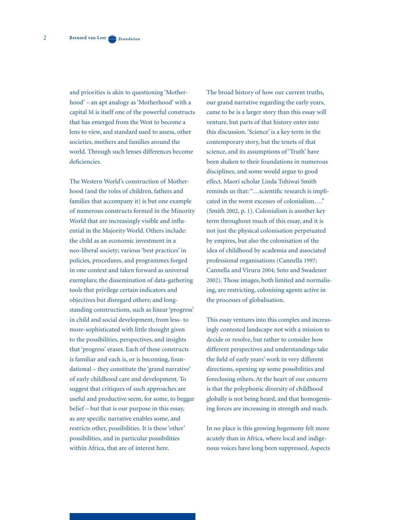2

and priorities is akin to questioning 'Motherhood' – an apt analogy as 'Motherhood' with a capital M is itself one of the powerful constructs that has emerged from the West to become a lens to view, and standard used to assess, other societies, mothers and families around the world. Through such lenses differences become deficiencies.

The Western World's construction of Motherhood (and the roles of children, fathers and families that accompany it) is but one example of numerous constructs formed in the Minority World that are increasingly visible and influential in the Majority World. Others include: the child as an economic investment in a neo-liberal society; various 'best practices' in policies, procedures, and programmes forged in one context and taken forward as universal exemplars; the dissemination of data-gathering tools that privilege certain indicators and objectives but disregard others; and longstanding constructions, such as linear 'progress' in child and social development, from less- to more-sophisticated with little thought given to the possibilities, perspectives, and insights that 'progress' erases. Each of these constructs is familiar and each is, or is becoming, foundational – they constitute the 'grand narrative' of early childhood care and development. To suggest that critiques of such approaches are useful and productive seem, for some, to beggar belief – but that is our purpose in this essay, as any specific narrative enables some, and restricts other, possibilities. It is these 'other' possibilities, and in particular possibilities within Africa, that are of interest here.

The broad history of how our current truths, our grand narrative regarding the early years, came to be is a larger story than this essay will venture, but parts of that history enter into this discussion. 'Science' is a key term in the contemporary story, but the tenets of that science, and its assumptions of 'Truth' have been shaken to their foundations in numerous disciplines, and some would argue to good effect. Maori scholar Linda Tuhiwai Smith reminds us that: "…scientific research is implicated in the worst excesses of colonialism…." (Smith 2002, p. 1). Colonialism is another key term throughout much of this essay, and it is not just the physical colonisation perpetuated by empires, but also the colonisation of the idea of childhood by academia and associated professional organisations (Cannella 1997; Cannella and Viruru 2004; Soto and Swadener 2002). Those images, both limited and normalising, are restricting, colonising agents active in the processes of globalisation.

This essay ventures into this complex and increasingly contested landscape not with a mission to decide or resolve, but rather to consider how different perspectives and understandings take the field of early years' work in very different directions, opening up some possibilities and foreclosing others. At the heart of our concern is that the polyphonic diversity of childhood globally is not being heard, and that homogenising forces are increasing in strength and reach.

In no place is this growing hegemony felt more acutely than in Africa, where local and indigenous voices have long been suppressed. Aspects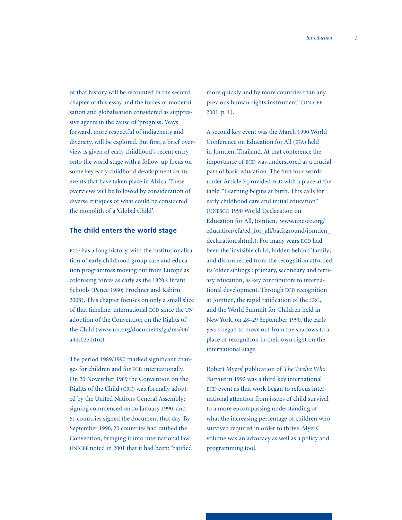of that history will be recounted in the second chapter of this essay and the forces of modernisation and globalisation considered as suppressive agents in the cause of 'progress'. Ways forward, more respectful of indigeneity and diversity, will be explored. But first, a brief overview is given of early childhood's recent entry onto the world stage with a follow-up focus on some key early childhood development (ECD) events that have taken place in Africa. These overviews will be followed by consideration of diverse critiques of what could be considered the monolith of a 'Global Child'.

### **The child enters the world stage**

ECD has a long history, with the institutionalisation of early childhood group care and education programmes moving out from Europe as colonising forces as early as the 1820's Infant Schools (Pence 1980; Prochner and Kabiru 2008). This chapter focuses on only a small slice of that timeline: international ECD since the UN adoption of the Convention on the Rights of the Child (www.un.org/documents/ga/res/44/ a44r025.htm).

The period 1989/1990 marked significant changes for children and for ECD internationally. On 20 November 1989 the Convention on the Rights of the Child (CRC) was formally adopted by the United Nations General Assembly; signing commenced on 26 January 1990, and 61 countries signed the document that day. By September 1990, 20 countries had ratified the Convention, bringing it into international law. UNICEF noted in 2001 that it had been: "ratified

more quickly and by more countries than any previous human rights instrument" (UNICEF 2001, p. 1).

A second key event was the March 1990 World Conference on Education for All (EFA) held in Jomtien, Thailand. At that conference the importance of ECD was underscored as a crucial part of basic education. The first four words under Article 5 provided ECD with a place at the table: "Learning begins at birth. This calls for early childhood care and initial education" (UNESCO 1990 World Declaration on Education for All, Jomtien, www.unesco.org/ education/efa/ed\_for\_all/background/jomtien\_ declaration.shtml.). For many years ECD had been the 'invisible child', hidden behind 'family', and disconnected from the recognition afforded its 'older siblings': primary, secondary and tertiary education, as key contributors to international development. Through ECD recognition at Jomtien, the rapid ratification of the CRC, and the World Summit for Children held in New York, on 28–29 September 1990, the early years began to move out from the shadows to a place of recognition in their own right on the international stage.

Robert Myers' publication of *The Twelve Who Survive* in 1992 was a third key international ECD event as that work began to refocus international attention from issues of child survival to a more encompassing understanding of what the increasing percentage of children who survived required in order to thrive. Myers' volume was an advocacy as well as a policy and programming tool.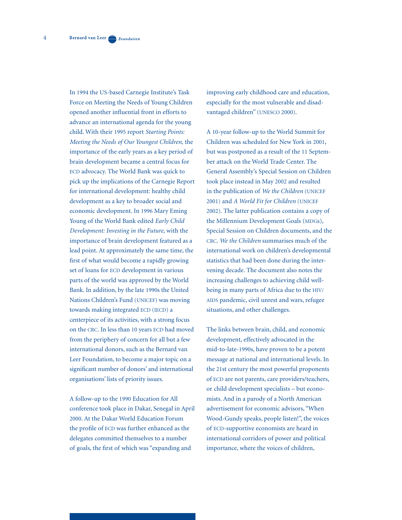In 1994 the US-based Carnegie Institute's Task Force on Meeting the Needs of Young Children opened another influential front in efforts to advance an international agenda for the young child. With their 1995 report *Starting Points: Meeting the Needs of Our Youngest Children,* the importance of the early years as a key period of brain development became a central focus for ECD advocacy. The World Bank was quick to pick up the implications of the Carnegie Report for international development: healthy child development as a key to broader social and economic development. In 1996 Mary Eming Young of the World Bank edited *Early Child Development: Investing in the Future,* with the importance of brain development featured as a lead point. At approximately the same time, the first of what would become a rapidly growing set of loans for ECD development in various parts of the world was approved by the World Bank. In addition, by the late 1990s the United Nations Children's Fund (UNICEF) was moving towards making integrated ECD (IECD) a centerpiece of its activities, with a strong focus on the CRC. In less than 10 years ECD had moved from the periphery of concern for all but a few international donors, such as the Bernard van Leer Foundation, to become a major topic on a significant number of donors' and international organisations' lists of priority issues.

A follow-up to the 1990 Education for All conference took place in Dakar, Senegal in April 2000. At the Dakar World Education Forum the profile of ECD was further enhanced as the delegates committed themselves to a number of goals, the first of which was "expanding and

improving early childhood care and education, especially for the most vulnerable and disadvantaged children" (UNESCO 2000).

A 10-year follow-up to the World Summit for Children was scheduled for New York in 2001, but was postponed as a result of the 11 September attack on the World Trade Center. The General Assembly's Special Session on Children took place instead in May 2002 and resulted in the publication of *We the Children* (UNICEF 2001) and *A World Fit for Children* (UNICEF 2002). The latter publication contains a copy of the Millennium Development Goals (MDGs), Special Session on Children documents, and the CRC. *We the Children* summarises much of the international work on children's developmental statistics that had been done during the intervening decade. The document also notes the increasing challenges to achieving child wellbeing in many parts of Africa due to the HIV/ AIDS pandemic, civil unrest and wars, refugee situations, and other challenges.

The links between brain, child, and economic development, effectively advocated in the mid-to-late-1990s, have proven to be a potent message at national and international levels. In the 21st century the most powerful proponents of ECD are not parents, care providers/teachers, or child development specialists – but economists. And in a parody of a North American advertisement for economic advisors, "When Wood-Gundy speaks, people listen!", the voices of ECD-supportive economists are heard in international corridors of power and political importance, where the voices of children,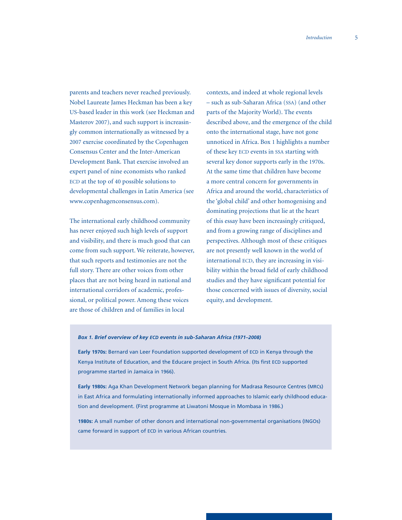parents and teachers never reached previously. Nobel Laureate James Heckman has been a key US-based leader in this work (see Heckman and Masterov 2007), and such support is increasingly common internationally as witnessed by a 2007 exercise coordinated by the Copenhagen Consensus Center and the Inter-American Development Bank. That exercise involved an expert panel of nine economists who ranked ECD at the top of 40 possible solutions to developmental challenges in Latin America (see www.copenhagenconsensus.com).

The international early childhood community has never enjoyed such high levels of support and visibility, and there is much good that can come from such support. We reiterate, however, that such reports and testimonies are not the full story. There are other voices from other places that are not being heard in national and international corridors of academic, professional, or political power. Among these voices are those of children and of families in local

contexts, and indeed at whole regional levels – such as sub-Saharan Africa (SSA) (and other parts of the Majority World). The events described above, and the emergence of the child onto the international stage, have not gone unnoticed in Africa. Box 1 highlights a number of these key ECD events in SSA starting with several key donor supports early in the 1970s. At the same time that children have become a more central concern for governments in Africa and around the world, characteristics of the 'global child' and other homogenising and dominating projections that lie at the heart of this essay have been increasingly critiqued, and from a growing range of disciplines and perspectives. Although most of these critiques are not presently well known in the world of international ECD, they are increasing in visibility within the broad field of early childhood studies and they have significant potential for those concerned with issues of diversity, social equity, and development.

#### *Box 1. Brief overview of key ECD events in sub-Saharan Africa (1971–2008)*

**Early 1970s:** Bernard van Leer Foundation supported development of ECD in Kenya through the Kenya Institute of Education, and the Educare project in South Africa. (Its first ECD supported programme started in Jamaica in 1966).

**Early 1980s:** Aga Khan Development Network began planning for Madrasa Resource Centres (MRCs) in East Africa and formulating internationally informed approaches to Islamic early childhood education and development. (First programme at Liwatoni Mosque in Mombasa in 1986.)

**1980s:** A small number of other donors and international non-governmental organisations (INGOs) came forward in support of ECD in various African countries.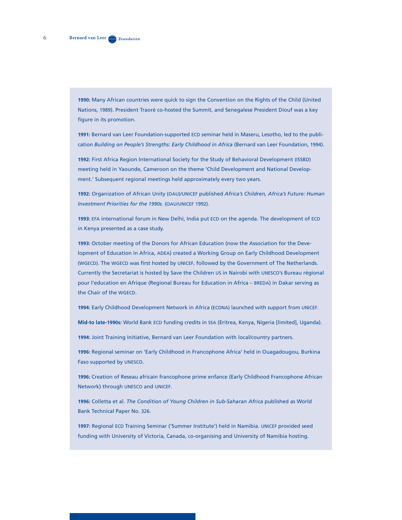**1990:** Many African countries were quick to sign the Convention on the Rights of the Child (United Nations, 1989). President Traoré co-hosted the Summit, and Senegalese President Diouf was a key figure in its promotion.

**1991:** Bernard van Leer Foundation-supported ECD seminar held in Maseru, Lesotho, led to the publication *Building on People's Strengths: Early Childhood in Africa* (Bernard van Leer Foundation, 1994).

**1992:** First Africa Region International Society for the Study of Behavioral Development (ISSBD) meeting held in Yaounde, Cameroon on the theme 'Child Development and National Development.' Subsequent regional meetings held approximately every two years.

**1992:** Organization of African Unity (OAU)/UNICEF published *Africa's Children, Africa's Future: Human Investment Priorities for the 1990s.* (OAU/UNICEF 1992).

**1993:** EFA international forum in New Delhi, India put ECD on the agenda. The development of ECD in Kenya presented as a case study.

**1993:** October meeting of the Donors for African Education (now the Association for the Development of Education in Africa, ADEA) created a Working Group on Early Childhood Development (WGECD). The WGECD was first hosted by UNICEF, followed by the Government of The Netherlands. Currently the Secretariat is hosted by Save the Children US in Nairobi with UNESCO's Bureau régional pour l'education en Afrique (Regional Bureau for Education in Africa – BREDA) in Dakar serving as the Chair of the WGECD.

**1994:** Early Childhood Development Network in Africa (ECDNA) launched with support from UNICEF.

**Mid-to late-1990s:** World Bank ECD funding credits in SSA (Eritrea, Kenya, Nigeria [limited], Uganda).

**1994:** Joint Training Initiative, Bernard van Leer Foundation with local/country partners.

**1996:** Regional seminar on 'Early Childhood in Francophone Africa' held in Ouagadougou, Burkina Faso supported by UNESCO.

**1996:** Creation of Reseau africain francophone prime enfance (Early Childhood Francophone African Network) through UNESCO and UNICEF.

**1996:** Colletta et al. *The Condition of Young Children in Sub-Saharan Africa* published as World Bank Technical Paper No. 326.

**1997:** Regional ECD Training Seminar ('Summer Institute') held in Namibia. UNICEF provided seed funding with University of Victoria, Canada, co-organising and University of Namibia hosting.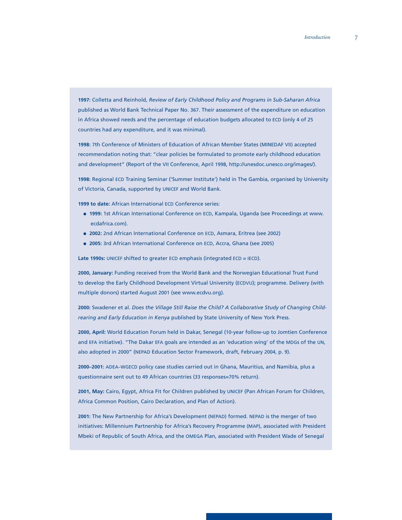**1997:** Colletta and Reinhold, *Review of Early Childhood Policy and Programs in Sub-Saharan Africa* published as World Bank Technical Paper No. 367. Their assessment of the expenditure on education in Africa showed needs and the percentage of education budgets allocated to ECD (only 4 of 25 countries had any expenditure, and it was minimal).

**1998:** 7th Conference of Ministers of Education of African Member States (MINEDAF VII) accepted recommendation noting that: "clear policies be formulated to promote early childhood education and development" (Report of the VII Conference, April 1998, http://unesdoc.unesco.org/images/).

**1998:** Regional ECD Training Seminar ('Summer Institute') held in The Gambia, organised by University of Victoria, Canada, supported by UNICEF and World Bank.

**1999 to date:** African International ECD Conference series:

- **1999:** 1st African International Conference on ECD, Kampala, Uganda (see Proceedings at www. ecdafrica.com).
- **2002:** 2nd African International Conference on ECD, Asmara, Eritrea (see 2002)
- **2005:** 3rd African International Conference on ECD, Accra, Ghana (see 2005)

**Late 1990s:** UNICEF shifted to greater ECD emphasis (integrated ECD = IECD).

**2000, January:** Funding received from the World Bank and the Norwegian Educational Trust Fund to develop the Early Childhood Development Virtual University (ECDVU); programme. Delivery (with multiple donors) started August 2001 (see www.ecdvu.org).

**2000:** Swadener et al. *Does the Village Still Raise the Child? A Collaborative Study of Changing Childrearing and Early Education in Kenya* published by State University of New York Press.

**2000, April:** World Education Forum held in Dakar, Senegal (10-year follow-up to Jomtien Conference and EFA initiative). "The Dakar EFA goals are intended as an 'education wing' of the MDGs of the UN, also adopted in 2000" (NEPAD Education Sector Framework, draft, February 2004, p. 9).

**2000–2001:** ADEA–WGECD policy case studies carried out in Ghana, Mauritius, and Namibia, plus a questionnaire sent out to 49 African countries (33 responses=70% return).

**2001, May:** Cairo, Egypt, Africa Fit for Children published by UNICEF (Pan African Forum for Children, Africa Common Position, Cairo Declaration, and Plan of Action).

**2001:** The New Partnership for Africa's Development (NEPAD) formed. NEPAD is the merger of two initiatives: Millennium Partnership for Africa's Recovery Programme (MAP), associated with President Mbeki of Republic of South Africa, and the OMEGA Plan, associated with President Wade of Senegal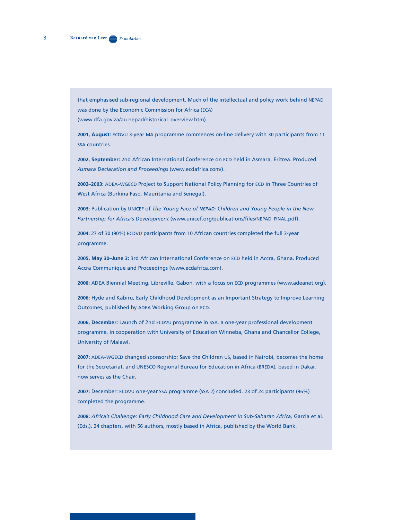that emphasised sub-regional development. Much of the intellectual and policy work behind NEPAD was done by the Economic Commission for Africa (ECA) (www.dfa.gov.za/au.nepad/historical\_overview.htm).

**2001, August:** ECDVU 3-year MA programme commences on-line delivery with 30 participants from 11 SSA countries.

**2002, September:** 2nd African International Conference on ECD held in Asmara, Eritrea. Produced *Asmara Declaration and Proceedings* (www.ecdafrica.com/).

**2002–2003:** ADEA–WGECD Project to Support National Policy Planning for ECD in Three Countries of West Africa (Burkina Faso, Mauritania and Senegal).

**2003:** Publication by UNICEF of *The Young Face of NEPAD: Children and Young People in the New Partnership for Africa's Development* (www.unicef.org/publications/files/NEPAD\_FINAL.pdf).

**2004:** 27 of 30 (90%) ECDVU participants from 10 African countries completed the full 3-year programme.

**2005, May 30–June 3:** 3rd African International Conference on ECD held in Accra, Ghana. Produced Accra Communique and Proceedings (www.ecdafrica.com).

**2006:** ADEA Biennial Meeting, Libreville, Gabon, with a focus on ECD programmes (www.adeanet.org).

**2006:** Hyde and Kabiru, Early Childhood Development as an Important Strategy to Improve Learning Outcomes, published by ADEA Working Group on ECD.

**2006, December:** Launch of 2nd ECDVU programme in SSA, a one-year professional development programme, in cooperation with University of Education Winneba, Ghana and Chancellor College, University of Malawi.

**2007:** ADEA–WGECD changed sponsorship; Save the Children US, based in Nairobi, becomes the home for the Secretariat, and UNESCO Regional Bureau for Education in Africa (BREDA), based in Dakar, now serves as the Chair.

**2007:** December: ECDVU one-year SSA programme (SSA-2) concluded. 23 of 24 participants (96%) completed the programme.

**2008:** *Africa's Challenge: Early Childhood Care and Development in Sub-Saharan Africa,* Garcia et al. (Eds.). 24 chapters, with 56 authors, mostly based in Africa, published by the World Bank.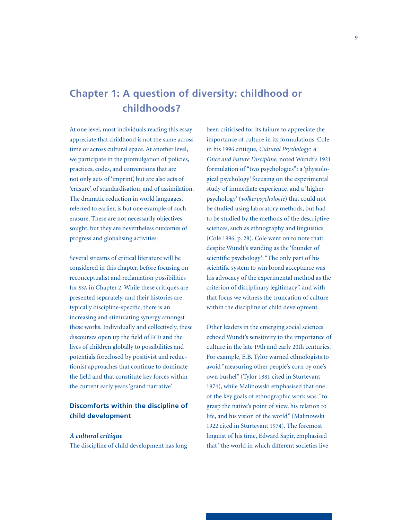# **Chapter 1: A question of diversity: childhood or childhoods?**

At one level, most individuals reading this essay appreciate that childhood is not the same across time or across cultural space. At another level, we participate in the promulgation of policies, practices, codes, and conventions that are not only acts of 'imprint', but are also acts of 'erasure', of standardisation, and of assimilation. The dramatic reduction in world languages, referred to earlier, is but one example of such erasure. These are not necessarily objectives sought, but they are nevertheless outcomes of progress and globalising activities.

Several streams of critical literature will be considered in this chapter, before focusing on reconceptualist and reclamation possibilities for SSA in Chapter 2. While these critiques are presented separately, and their histories are typically discipline-specific, there is an increasing and stimulating synergy amongst these works. Individually and collectively, these discourses open up the field of ECD and the lives of children globally to possibilities and potentials foreclosed by positivist and reductionist approaches that continue to dominate the field and that constitute key forces within the current early years 'grand narrative'.

## **Discomforts within the discipline of child development**

## *A cultural critique*

The discipline of child development has long

been criticised for its failure to appreciate the importance of culture in its formulations. Cole in his 1996 critique, *Cultural Psychology: A Once and Future Discipline,* noted Wundt's 1921 formulation of "two psychologies": a 'physiological psychology' focusing on the experimental study of immediate experience, and a 'higher psychology' (*volkerpsychologie*) that could not be studied using laboratory methods, but had to be studied by the methods of the descriptive sciences, such as ethnography and linguistics (Cole 1996, p. 28). Cole went on to note that: despite Wundt's standing as the 'founder of scientific psychology': "The only part of his scientific system to win broad acceptance was his advocacy of the experimental method as the criterion of disciplinary legitimacy", and with that focus we witness the truncation of culture within the discipline of child development.

Other leaders in the emerging social sciences echoed Wundt's sensitivity to the importance of culture in the late 19th and early 20th centuries. For example, E.B. Tylor warned ethnologists to avoid "measuring other people's corn by one's own bushel" (Tylor 1881 cited in Sturtevant 1974), while Malinowski emphasised that one of the key goals of ethnographic work was: "to grasp the native's point of view, his relation to life, and his vision of the world" (Malinowski 1922 cited in Sturtevant 1974). The foremost linguist of his time, Edward Sapir, emphasised that "the world in which different societies live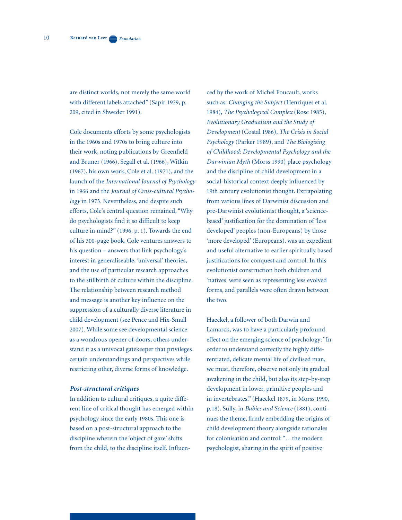are distinct worlds, not merely the same world with different labels attached" (Sapir 1929, p. 209, cited in Shweder 1991).

Cole documents efforts by some psychologists in the 1960s and 1970s to bring culture into their work, noting publications by Greenfield and Bruner (1966), Segall et al. (1966), Witkin (1967), his own work, Cole et al. (1971), and the launch of the *International Journal of Psychology* in 1966 and the *Journal of Cross-cultural Psychology* in 1973. Nevertheless, and despite such efforts, Cole's central question remained, "Why do psychologists find it so difficult to keep culture in mind?" (1996, p. 1). Towards the end of his 300-page book, Cole ventures answers to his question – answers that link psychology's interest in generaliseable, 'universal' theories, and the use of particular research approaches to the stillbirth of culture within the discipline. The relationship between research method and message is another key influence on the suppression of a culturally diverse literature in child development (see Pence and Hix-Small 2007). While some see developmental science as a wondrous opener of doors, others understand it as a univocal gatekeeper that privileges certain understandings and perspectives while restricting other, diverse forms of knowledge.

#### *Post-structural critiques*

In addition to cultural critiques, a quite different line of critical thought has emerged within psychology since the early 1980s. This one is based on a post-structural approach to the discipline wherein the 'object of gaze' shifts from the child, to the discipline itself. Influenced by the work of Michel Foucault, works such as: *Changing the Subject* (Henriques et al. 1984), *The Psychological Complex* (Rose 1985), *Evolutionary Gradualism and the Study of Development* (Costal 1986), *The Crisis in Social Psychology* (Parker 1989), and *The Biologising of Childhood: Developmental Psychology and the Darwinian Myth* (Morss 1990) place psychology and the discipline of child development in a social-historical context deeply influenced by 19th century evolutionist thought. Extrapolating from various lines of Darwinist discussion and pre-Darwinist evolutionist thought, a 'sciencebased' justification for the domination of 'less developed' peoples (non-Europeans) by those 'more developed' (Europeans), was an expedient and useful alternative to earlier spiritually based justifications for conquest and control. In this evolutionist construction both children and 'natives' were seen as representing less evolved forms, and parallels were often drawn between the two.

Haeckel, a follower of both Darwin and Lamarck, was to have a particularly profound effect on the emerging science of psychology: "In order to understand correctly the highly differentiated, delicate mental life of civilised man, we must, therefore, observe not only its gradual awakening in the child, but also its step-by-step development in lower, primitive peoples and in invertebrates." (Haeckel 1879, in Morss 1990, p.18). Sully, in *Babies and Science* (1881), continues the theme, firmly embedding the origins of child development theory alongside rationales for colonisation and control: "…the modern psychologist, sharing in the spirit of positive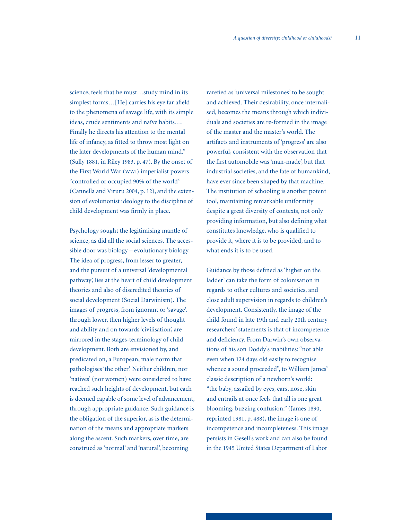science, feels that he must…study mind in its simplest forms…[He] carries his eye far afield to the phenomena of savage life, with its simple ideas, crude sentiments and naïve habits…. Finally he directs his attention to the mental life of infancy, as fitted to throw most light on the later developments of the human mind." (Sully 1881, in Riley 1983, p. 47). By the onset of the First World War (WWI) imperialist powers "controlled or occupied 90% of the world" (Cannella and Viruru 2004, p. 12), and the extension of evolutionist ideology to the discipline of child development was firmly in place.

Psychology sought the legitimising mantle of science, as did all the social sciences. The accessible door was biology – evolutionary biology. The idea of progress, from lesser to greater, and the pursuit of a universal 'developmental pathway', lies at the heart of child development theories and also of discredited theories of social development (Social Darwinism). The images of progress, from ignorant or 'savage', through lower, then higher levels of thought and ability and on towards 'civilisation', are mirrored in the stages-terminology of child development. Both are envisioned by, and predicated on, a European, male norm that pathologises 'the other'. Neither children, nor 'natives' (nor women) were considered to have reached such heights of development, but each is deemed capable of some level of advancement, through appropriate guidance. Such guidance is the obligation of the superior, as is the determination of the means and appropriate markers along the ascent. Such markers, over time, are construed as 'normal' and 'natural', becoming

rarefied as 'universal milestones' to be sought and achieved. Their desirability, once internalised, becomes the means through which individuals and societies are re-formed in the image of the master and the master's world. The artifacts and instruments of 'progress' are also powerful, consistent with the observation that the first automobile was 'man-made', but that industrial societies, and the fate of humankind, have ever since been shaped by that machine. The institution of schooling is another potent tool, maintaining remarkable uniformity despite a great diversity of contexts, not only providing information, but also defining what constitutes knowledge, who is qualified to provide it, where it is to be provided, and to what ends it is to be used.

Guidance by those defined as 'higher on the ladder' can take the form of colonisation in regards to other cultures and societies, and close adult supervision in regards to children's development. Consistently, the image of the child found in late 19th and early 20th century researchers' statements is that of incompetence and deficiency. From Darwin's own observations of his son Doddy's inabilities: "not able even when 124 days old easily to recognise whence a sound proceeded", to William James' classic description of a newborn's world: "the baby, assailed by eyes, ears, nose, skin and entrails at once feels that all is one great blooming, buzzing confusion." (James 1890, reprinted 1981, p. 488), the image is one of incompetence and incompleteness. This image persists in Gesell's work and can also be found in the 1945 United States Department of Labor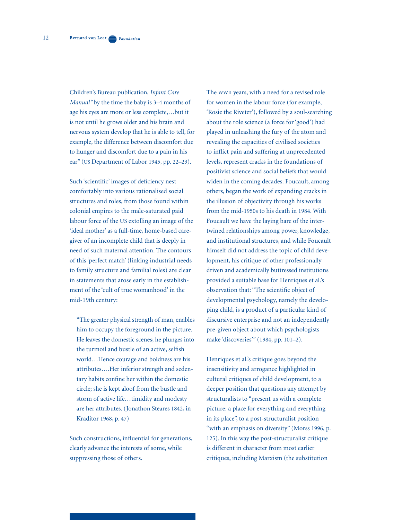Children's Bureau publication, *Infant Care Manual* "by the time the baby is 3–4 months of age his eyes are more or less complete,…but it is not until he grows older and his brain and nervous system develop that he is able to tell, for example, the difference between discomfort due to hunger and discomfort due to a pain in his ear" (US Department of Labor 1945, pp. 22–23).

Such 'scientific' images of deficiency nest comfortably into various rationalised social structures and roles, from those found within colonial empires to the male-saturated paid labour force of the US extolling an image of the 'ideal mother' as a full-time, home-based caregiver of an incomplete child that is deeply in need of such maternal attention. The contours of this 'perfect match' (linking industrial needs to family structure and familial roles) are clear in statements that arose early in the establishment of the 'cult of true womanhood' in the mid-19th century:

"The greater physical strength of man, enables him to occupy the foreground in the picture. He leaves the domestic scenes; he plunges into the turmoil and bustle of an active, selfish world…Hence courage and boldness are his attributes….Her inferior strength and sedentary habits confine her within the domestic circle; she is kept aloof from the bustle and storm of active life…timidity and modesty are her attributes. (Jonathon Steares 1842, in Kraditor 1968, p. 47)

Such constructions, influential for generations, clearly advance the interests of some, while suppressing those of others.

The WWII years, with a need for a revised role for women in the labour force (for example, 'Rosie the Riveter'), followed by a soul-searching about the role science (a force for 'good') had played in unleashing the fury of the atom and revealing the capacities of civilised societies to inflict pain and suffering at unprecedented levels, represent cracks in the foundations of positivist science and social beliefs that would widen in the coming decades. Foucault, among others, began the work of expanding cracks in the illusion of objectivity through his works from the mid-1950s to his death in 1984. With Foucault we have the laying bare of the intertwined relationships among power, knowledge, and institutional structures, and while Foucault himself did not address the topic of child development, his critique of other professionally driven and academically buttressed institutions provided a suitable base for Henriques et al.'s observation that: "The scientific object of developmental psychology, namely the developing child, is a product of a particular kind of discursive enterprise and not an independently pre-given object about which psychologists make 'discoveries'" (1984, pp. 101–2).

Henriques et al.'s critique goes beyond the insensitivity and arrogance highlighted in cultural critiques of child development, to a deeper position that questions any attempt by structuralists to "present us with a complete picture: a place for everything and everything in its place", to a post-structuralist position "with an emphasis on diversity" (Morss 1996, p. 125). In this way the post-structuralist critique is different in character from most earlier critiques, including Marxism (the substitution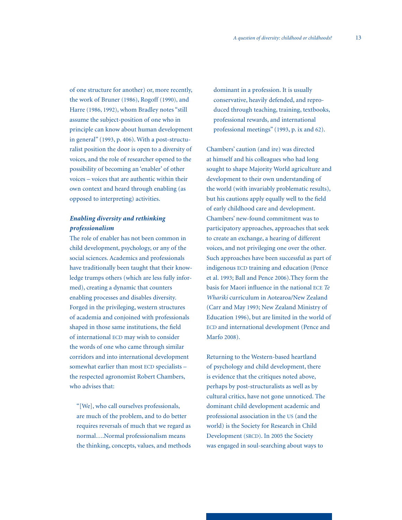of one structure for another) or, more recently, the work of Bruner (1986), Rogoff (1990), and Harre (1986, 1992), whom Bradley notes "still assume the subject-position of one who in principle can know about human development in general" (1993, p. 406). With a post-structuralist position the door is open to a diversity of voices, and the role of researcher opened to the possibility of becoming an 'enabler' of other voices – voices that are authentic within their own context and heard through enabling (as opposed to interpreting) activities.

## *Enabling diversity and rethinking professionalism*

The role of enabler has not been common in child development, psychology, or any of the social sciences. Academics and professionals have traditionally been taught that their knowledge trumps others (which are less fully informed), creating a dynamic that counters enabling processes and disables diversity. Forged in the privileging, western structures of academia and conjoined with professionals shaped in those same institutions, the field of international ECD may wish to consider the words of one who came through similar corridors and into international development somewhat earlier than most ECD specialists – the respected agronomist Robert Chambers, who advises that:

"[We], who call ourselves professionals, are much of the problem, and to do better requires reversals of much that we regard as normal….Normal professionalism means the thinking, concepts, values, and methods

dominant in a profession. It is usually conservative, heavily defended, and reproduced through teaching, training, textbooks, professional rewards, and international professional meetings" (1993, p. ix and 62).

Chambers' caution (and ire) was directed at himself and his colleagues who had long sought to shape Majority World agriculture and development to their own understanding of the world (with invariably problematic results), but his cautions apply equally well to the field of early childhood care and development. Chambers' new-found commitment was to participatory approaches, approaches that seek to create an exchange, a hearing of different voices, and not privileging one over the other. Such approaches have been successful as part of indigenous ECD training and education (Pence et al. 1993; Ball and Pence 2006).They form the basis for Maori influence in the national ECE *Te Whariki* curriculum in Aotearoa/New Zealand (Carr and May 1993; New Zealand Ministry of Education 1996), but are limited in the world of ECD and international development (Pence and Marfo 2008).

Returning to the Western-based heartland of psychology and child development, there is evidence that the critiques noted above, perhaps by post-structuralists as well as by cultural critics, have not gone unnoticed. The dominant child development academic and professional association in the US (and the world) is the Society for Research in Child Development (SRCD). In 2005 the Society was engaged in soul-searching about ways to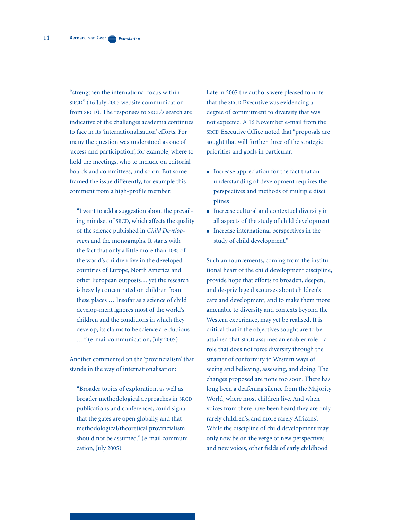"strengthen the international focus within SRCD" (16 July 2005 website communication from SRCD). The responses to SRCD's search are indicative of the challenges academia continues to face in its 'internationalisation' efforts. For many the question was understood as one of 'access and participation', for example, where to hold the meetings, who to include on editorial boards and committees, and so on. But some framed the issue differently, for example this comment from a high-profile member:

"I want to add a suggestion about the prevailing mindset of SRCD, which affects the quality of the science published in *Child Development* and the monographs. It starts with the fact that only a little more than 10% of the world's children live in the developed countries of Europe, North America and other European outposts… yet the research is heavily concentrated on children from these places … Insofar as a science of child develop-ment ignores most of the world's children and the conditions in which they develop, its claims to be science are dubious …." (e-mail communication, July 2005)

Another commented on the 'provincialism' that stands in the way of internationalisation:

"Broader topics of exploration, as well as broader methodological approaches in SRCD publications and conferences, could signal that the gates are open globally, and that methodological/theoretical provincialism should not be assumed." (e-mail communication, July 2005)

Late in 2007 the authors were pleased to note that the SRCD Executive was evidencing a degree of commitment to diversity that was not expected. A 16 November e-mail from the SRCD Executive Office noted that "proposals are sought that will further three of the strategic priorities and goals in particular:

- Increase appreciation for the fact that an understanding of development requires the perspectives and methods of multiple disci plines
- Increase cultural and contextual diversity in all aspects of the study of child development
- Increase international perspectives in the study of child development."

Such announcements, coming from the institutional heart of the child development discipline, provide hope that efforts to broaden, deepen, and de-privilege discourses about children's care and development, and to make them more amenable to diversity and contexts beyond the Western experience, may yet be realised. It is critical that if the objectives sought are to be attained that SRCD assumes an enabler role – a role that does not force diversity through the strainer of conformity to Western ways of seeing and believing, assessing, and doing. The changes proposed are none too soon. There has long been a deafening silence from the Majority World, where most children live. And when voices from there have been heard they are only rarely children's, and more rarely Africans'. While the discipline of child development may only now be on the verge of new perspectives and new voices, other fields of early childhood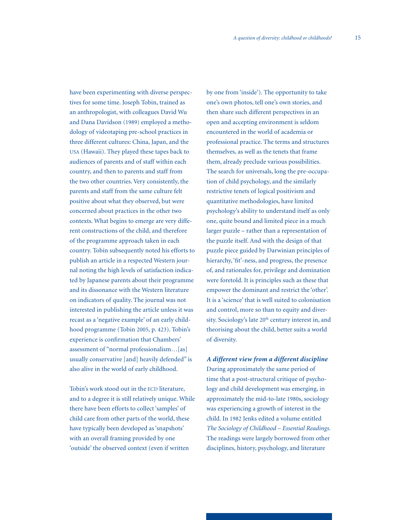have been experimenting with diverse perspectives for some time. Joseph Tobin, trained as an anthropologist, with colleagues David Wu and Dana Davidson (1989) employed a methodology of videotaping pre-school practices in three different cultures: China, Japan, and the USA (Hawaii). They played these tapes back to audiences of parents and of staff within each country, and then to parents and staff from the two other countries. Very consistently, the parents and staff from the same culture felt positive about what they observed, but were concerned about practices in the other two contexts. What begins to emerge are very different constructions of the child, and therefore of the programme approach taken in each country. Tobin subsequently noted his efforts to publish an article in a respected Western journal noting the high levels of satisfaction indicated by Japanese parents about their programme and its dissonance with the Western literature on indicators of quality. The journal was not interested in publishing the article unless it was recast as a 'negative example' of an early childhood programme (Tobin 2005, p. 423). Tobin's experience is confirmation that Chambers' assessment of "normal professionalism…[as] usually conservative [and] heavily defended" is also alive in the world of early childhood.

Tobin's work stood out in the ECD literature, and to a degree it is still relatively unique. While there have been efforts to collect 'samples' of child care from other parts of the world, these have typically been developed as 'snapshots' with an overall framing provided by one 'outside' the observed context (even if written

by one from 'inside'). The opportunity to take one's own photos, tell one's own stories, and then share such different perspectives in an open and accepting environment is seldom encountered in the world of academia or professional practice. The terms and structures themselves, as well as the tenets that frame them, already preclude various possibilities. The search for universals, long the pre-occupation of child psychology, and the similarly restrictive tenets of logical positivism and quantitative methodologies, have limited psychology's ability to understand itself as only one, quite bound and limited piece in a much larger puzzle – rather than a representation of the puzzle itself. And with the design of that puzzle piece guided by Darwinian principles of hierarchy, 'fit'-ness, and progress, the presence of, and rationales for, privilege and domination were foretold. It is principles such as these that empower the dominant and restrict the 'other'. It is a 'science' that is well suited to colonisation and control, more so than to equity and diversity. Sociology's late 20<sup>th</sup> century interest in, and theorising about the child, better suits a world of diversity.

*A different view from a different discipline* During approximately the same period of time that a post-structural critique of psychology and child development was emerging, in approximately the mid-to-late 1980s, sociology was experiencing a growth of interest in the child. In 1982 Jenks edited a volume entitled *The Sociology of Childhood – Essential Readings.* The readings were largely borrowed from other disciplines, history, psychology, and literature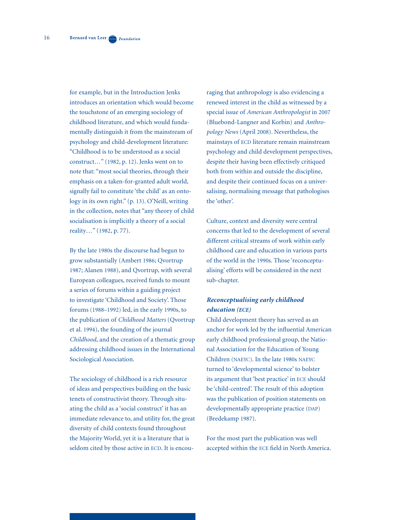for example, but in the Introduction Jenks introduces an orientation which would become the touchstone of an emerging sociology of childhood literature, and which would fundamentally distinguish it from the mainstream of psychology and child-development literature: "Childhood is to be understood as a social construct…" (1982, p. 12). Jenks went on to note that: "most social theories, through their emphasis on a taken-for-granted adult world, signally fail to constitute 'the child' as an ontology in its own right." (p. 13). O'Neill, writing in the collection, notes that "any theory of child socialisation is implicitly a theory of a social reality…" (1982, p. 77).

By the late 1980s the discourse had begun to grow substantially (Ambert 1986; Qvortrup 1987; Alanen 1988), and Qvortrup, with several European colleagues, received funds to mount a series of forums within a guiding project to investigate 'Childhood and Society'. Those forums (1988–1992) led, in the early 1990s, to the publication of *Childhood Matters* (Qvortrup et al. 1994), the founding of the journal *Childhood,* and the creation of a thematic group addressing childhood issues in the International Sociological Association.

The sociology of childhood is a rich resource of ideas and perspectives building on the basic tenets of constructivist theory. Through situating the child as a 'social construct' it has an immediate relevance to, and utility for, the great diversity of child contexts found throughout the Majority World, yet it is a literature that is seldom cited by those active in ECD. It is encouraging that anthropology is also evidencing a renewed interest in the child as witnessed by a special issue of *American Anthropologist* in 2007 (Bluebond-Langner and Korbin) and *Anthropology News* (April 2008). Nevertheless, the mainstays of ECD literature remain mainstream psychology and child development perspectives, despite their having been effectively critiqued both from within and outside the discipline, and despite their continued focus on a universalising, normalising message that pathologises the 'other'.

Culture, context and diversity were central concerns that led to the development of several different critical streams of work within early childhood care and education in various parts of the world in the 1990s. Those 'reconceptualising' efforts will be considered in the next sub-chapter.

## *Reconceptualising early childhood education (ECE)*

Child development theory has served as an anchor for work led by the influential American early childhood professional group, the National Association for the Education of Young Children (NAEYC). In the late 1980s NAEYC turned to 'developmental science' to bolster its argument that 'best practice' in ECE should be 'child-centred'. The result of this adoption was the publication of position statements on developmentally appropriate practice (DAP) (Bredekamp 1987).

For the most part the publication was well accepted within the ECE field in North America.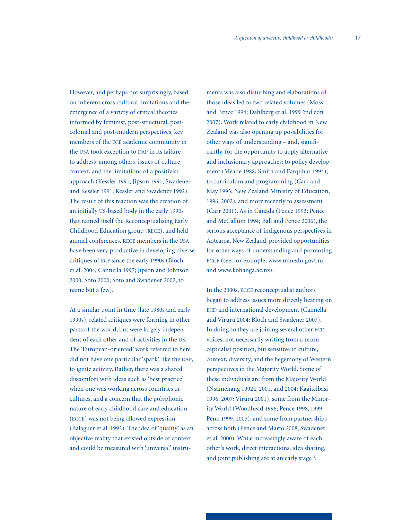However, and perhaps not surprisingly, based on inherent cross-cultural limitations and the emergence of a variety of critical theories informed by feminist, post-structural, postcolonial and post-modern perspectives, key members of the ECE academic community in the USA took exception to DAP in its failure to address, among others, issues of culture, context, and the limitations of a positivist approach (Kessler 1991; Jipson 1991; Swadener and Kessler 1991; Kessler and Swadener 1992). The result of this reaction was the creation of an initially US-based body in the early 1990s that named itself the Reconceptualising Early Childhood Education group (RECE), and held annual conferences. RECE members in the USA have been very productive in developing diverse critiques of ECE since the early 1990s (Bloch et al. 2004; Cannella 1997; Jipson and Johnson 2000; Soto 2000; Soto and Swadener 2002, to name but a few).

At a similar point in time (late 1980s and early 1990s), related critiques were forming in other parts of the world, but were largely independent of each other and of activities in the US. The 'European-oriented' work referred to here did not have one particular 'spark', like the DAP, to ignite activity. Rather, there was a shared discomfort with ideas such as 'best practice' when one was working across countries or cultures, and a concern that the polyphonic nature of early childhood care and education (ECCE) was not being allowed expression (Balaguer et al. 1992). The idea of 'quality' as an objective reality that existed outside of context and could be measured with 'universal' instruments was also disturbing and elaborations of those ideas led to two related volumes (Moss and Pence 1994; Dahlberg et al. 1999 2nd edn 2007). Work related to early childhood in New Zealand was also opening up possibilities for other ways of understanding – and, significantly, for the opportunity to apply alternative and inclusionary approaches: to policy development (Meade 1988; Smith and Farquhar 1994), to curriculum and programming (Carr and May 1993; New Zealand Ministry of Education, 1996, 2002), and more recently to assessment (Carr 2001). As in Canada (Pence 1993; Pence and McCallum 1994; Ball and Pence 2006), the serious acceptance of indigenous perspectives in Aotearoa, New Zealand, provided opportunities for other ways of understanding and promoting ECCE (see, for example, www.minedu.govt.nz and www.kohanga.ac.nz).

In the 2000s, ECCE reconceptualist authors began to address issues more directly bearing on ECD and international development (Cannella and Viruru 2004; Bloch and Swadener 2007). In doing so they are joining several other ECD voices, not necessarily writing from a reconceptualist position, but sensitive to culture, context, diversity, and the hegemony of Western perspectives in the Majority World. Some of these individuals are from the Majority World (Nsamenang 1992a, 2001, and 2004; Kagitcibasi 1996, 2007; Viruru 2001), some from the Minority World (Woodhead 1996; Pence 1998, 1999; Penn 1999, 2005), and some from partnerships across both (Pence and Marfo 2008; Swadener et al. 2000). While increasingly aware of each other's work, direct interactions, idea sharing, and joint publishing are at an early stage<sup>3</sup>.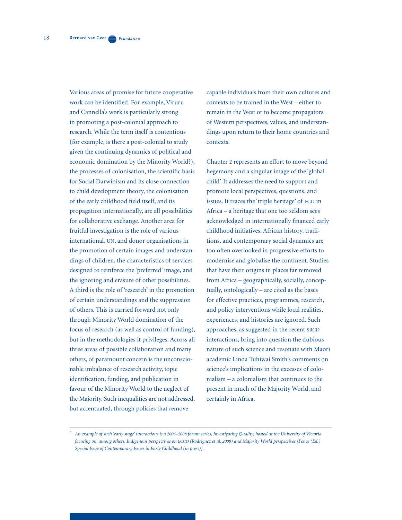Various areas of promise for future cooperative work can be identified. For example, Viruru and Cannella's work is particularly strong in promoting a post-colonial approach to research. While the term itself is contentious (for example, is there a post-colonial to study given the continuing dynamics of political and economic domination by the Minority World?), the processes of colonisation, the scientific basis for Social Darwinism and its close connection to child development theory, the colonisation of the early childhood field itself, and its propagation internationally, are all possibilities for collaborative exchange. Another area for fruitful investigation is the role of various international, UN, and donor organisations in the promotion of certain images and understandings of children, the characteristics of services designed to reinforce the 'preferred' image, and the ignoring and erasure of other possibilities. A third is the role of 'research' in the promotion of certain understandings and the suppression of others. This is carried forward not only through Minority World domination of the focus of research (as well as control of funding), but in the methodologies it privileges. Across all three areas of possible collaboration and many others, of paramount concern is the unconscionable imbalance of research activity, topic identification, funding, and publication in favour of the Minority World to the neglect of the Majority. Such inequalities are not addressed, but accentuated, through policies that remove

capable individuals from their own cultures and contexts to be trained in the West – either to remain in the West or to become propagators of Western perspectives, values, and understandings upon return to their home countries and contexts.

Chapter 2 represents an effort to move beyond hegemony and a singular image of the 'global child'. It addresses the need to support and promote local perspectives, questions, and issues. It traces the 'triple heritage' of ECD in Africa – a heritage that one too seldom sees acknowledged in internationally financed early childhood initiatives. African history, traditions, and contemporary social dynamics are too often overlooked in progressive efforts to modernise and globalise the continent. Studies that have their origins in places far removed from Africa – geographically, socially, conceptually, ontologically – are cited as the bases for effective practices, programmes, research, and policy interventions while local realities, experiences, and histories are ignored. Such approaches, as suggested in the recent SRCD interactions, bring into question the dubious nature of such science and resonate with Maori academic Linda Tuhiwai Smith's comments on science's implications in the excesses of colonialism – a colonialism that continues to the present in much of the Majority World, and certainly in Africa.

*<sup>3</sup> An example of such 'early stage' interactions is a 2006–2008 forum series, Investigating Quality, hosted at the University of Victoria focusing on, among others, Indigenous perspectives on ECCD (Rodriguez et al. 2008) and Majority World perspectives [Pence (Ed.) Special Issue of Contemporary Issues in Early Childhood (in press)].*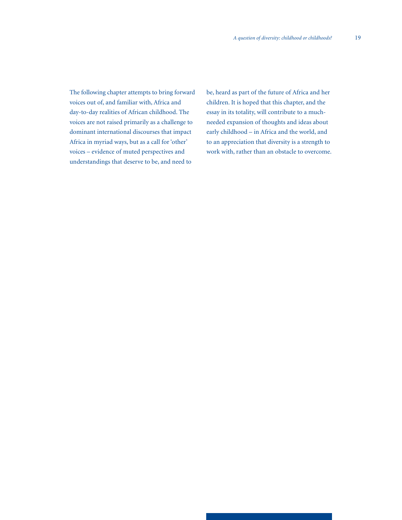The following chapter attempts to bring forward voices out of, and familiar with, Africa and day-to-day realities of African childhood. The voices are not raised primarily as a challenge to dominant international discourses that impact Africa in myriad ways, but as a call for 'other' voices – evidence of muted perspectives and understandings that deserve to be, and need to

be, heard as part of the future of Africa and her children. It is hoped that this chapter, and the essay in its totality, will contribute to a muchneeded expansion of thoughts and ideas about early childhood – in Africa and the world, and to an appreciation that diversity is a strength to work with, rather than an obstacle to overcome.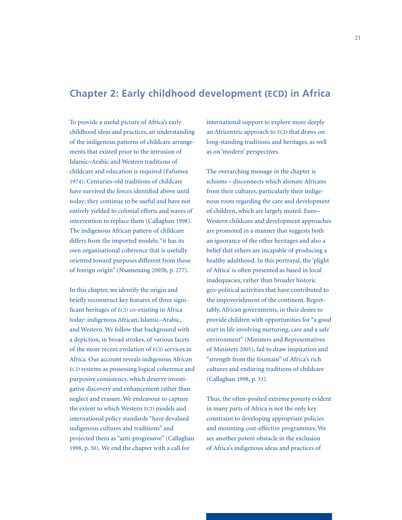# **Chapter 2: Early childhood development (ECD) in Africa**

To provide a useful picture of Africa's early childhood ideas and practices, an understanding of the indigenous patterns of childcare arrangements that existed prior to the intrusion of Islamic–Arabic and Western traditions of childcare and education is required (Fafunwa 1974). Centuries-old traditions of childcare have survived the forces identified above until today; they continue to be useful and have not entirely yielded to colonial efforts and waves of intervention to replace them (Callaghan 1998). The indigenous African pattern of childcare differs from the imported models; "it has its own organisational coherence that is usefully oriented toward purposes different from those of foreign origin" (Nsamenang 2005b, p. 277).

In this chapter, we identify the origin and briefly reconstruct key features of three significant heritages of ECD co-existing in Africa today: indigenous African, Islamic–Arabic, and Western. We follow that background with a depiction, in broad strokes, of various facets of the more recent evolution of ECD services in Africa. Our account reveals indigenous African ECD systems as possessing logical coherence and purposive consistency, which deserve investigative discovery and enhancement rather than neglect and erasure. We endeavour to capture the extent to which Western ECD models and international policy standards "have devalued indigenous cultures and traditions" and projected them as "anti-progressive" (Callaghan 1998, p. 30). We end the chapter with a call for

international support to explore more deeply an Africentric approach to ECD that draws on long-standing traditions and heritages, as well as on 'modern' perspectives.

The overarching message in the chapter is schisms – disconnects which alienate Africans from their cultures, particularly their indigenous roots regarding the care and development of children, which are largely muted. Euro– Western childcare and development approaches are promoted in a manner that suggests both an ignorance of the other heritages and also a belief that others are incapable of producing a healthy adulthood. In this portrayal, the 'plight of Africa' is often presented as based in local inadequacies, rather than broader historic geo-political activities that have contributed to the impoverishment of the continent. Regrettably, African governments, in their desire to provide children with opportunities for "a good start in life involving nurturing, care and a safe environment" (Ministers and Representatives of Ministers 2005), fail to draw inspiration and "strength from the fountain" of Africa's rich cultures and enduring traditions of childcare (Callaghan 1998, p. 33).

Thus, the often-posited extreme poverty evident in many parts of Africa is not the only key constraint to developing appropriate policies and mounting cost-effective programmes. We see another potent obstacle in the exclusion of Africa's indigenous ideas and practices of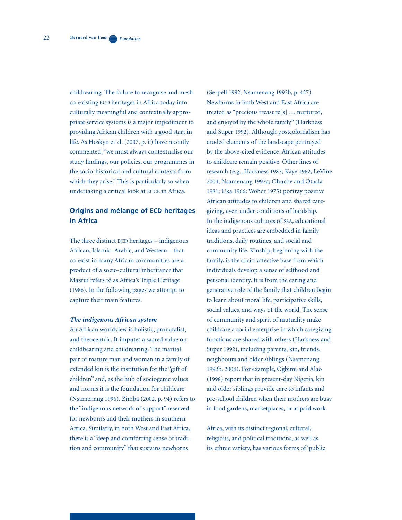childrearing. The failure to recognise and mesh co-existing ECD heritages in Africa today into culturally meaningful and contextually appropriate service systems is a major impediment to providing African children with a good start in life. As Hoskyn et al. (2007, p. ii) have recently commented, "we must always contextualise our study findings, our policies, our programmes in the socio-historical and cultural contexts from which they arise." This is particularly so when undertaking a critical look at ECCE in Africa.

## **Origins and mélange of ECD heritages in Africa**

The three distinct ECD heritages – indigenous African, Islamic–Arabic, and Western – that co-exist in many African communities are a product of a socio-cultural inheritance that Mazrui refers to as Africa's Triple Heritage (1986). In the following pages we attempt to capture their main features.

#### *The indigenous African system*

An African worldview is holistic, pronatalist, and theocentric. It imputes a sacred value on childbearing and childrearing. The marital pair of mature man and woman in a family of extended kin is the institution for the "gift of children" and, as the hub of sociogenic values and norms it is the foundation for childcare (Nsamenang 1996). Zimba (2002, p. 94) refers to the "indigenous network of support" reserved for newborns and their mothers in southern Africa. Similarly, in both West and East Africa, there is a "deep and comforting sense of tradition and community" that sustains newborns

(Serpell 1992; Nsamenang 1992b, p. 427). Newborns in both West and East Africa are treated as "precious treasure[s] … nurtured, and enjoyed by the whole family" (Harkness and Super 1992). Although postcolonialism has eroded elements of the landscape portrayed by the above-cited evidence, African attitudes to childcare remain positive. Other lines of research (e.g., Harkness 1987; Kaye 1962; LeVine 2004; Nsamenang 1992a; Ohuche and Otaala 1981; Uka 1966; Wober 1975) portray positive African attitudes to children and shared caregiving, even under conditions of hardship. In the indigenous cultures of SSA, educational ideas and practices are embedded in family traditions, daily routines, and social and community life. Kinship, beginning with the family, is the socio-affective base from which individuals develop a sense of selfhood and personal identity. It is from the caring and generative role of the family that children begin to learn about moral life, participative skills, social values, and ways of the world. The sense of community and spirit of mutuality make childcare a social enterprise in which caregiving functions are shared with others (Harkness and Super 1992), including parents, kin, friends, neighbours and older siblings (Nsamenang 1992b, 2004). For example, Ogbimi and Alao (1998) report that in present-day Nigeria, kin and older siblings provide care to infants and pre-school children when their mothers are busy in food gardens, marketplaces, or at paid work.

Africa, with its distinct regional, cultural, religious, and political traditions, as well as its ethnic variety, has various forms of 'public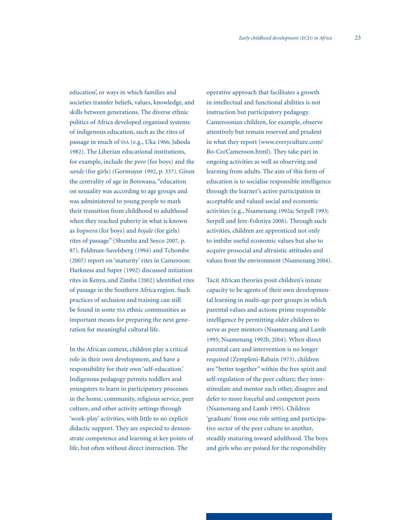23

education', or ways in which families and societies transfer beliefs, values, knowledge, and skills between generations. The diverse ethnic politics of Africa developed organised systems of indigenous education, such as the rites of passage in much of SSA (e.g., Uka 1966; Jahoda 1982). The Liberian educational institutions, for example, include the *poro* (for boys) and the *sande* (for girls) (Gormuyor 1992, p. 337). Given the centrality of age in Botswana, "education on sexuality was according to age groups and was administered to young people to mark their transition from childhood to adulthood when they reached puberty in what is known as *bogwera* (for boys) and *bojale* (for girls) rites of passage" (Shumba and Seeco 2007, p. 87). Feldman-Savelsberg (1994) and Tchombe (2007) report on 'maturity' rites in Cameroon; Harkness and Super (1992) discussed initiation rites in Kenya, and Zimba (2002) identified rites of passage in the Southern Africa region. Such practices of seclusion and training can still be found in some SSA ethnic communities as important means for preparing the next generation for meaningful cultural life.

In the African context, children play a critical role in their own development, and have a responsibility for their own 'self-education.' Indigenous pedagogy permits toddlers and youngsters to learn in participatory processes in the home, community, religious service, peer culture, and other activity settings through 'work-play' activities, with little to no explicit didactic support. They are expected to demonstrate competence and learning at key points of life, but often without direct instruction. The

operative approach that facilitates a growth in intellectual and functional abilities is not instruction but participatory pedagogy. Cameroonian children, for example, observe attentively but remain reserved and prudent in what they report (www.everyculture.com/ Bo-Co/Cameroon.html). They take part in ongoing activities as well as observing and learning from adults. The aim of this form of education is to socialise responsible intelligence through the learner's active participation in acceptable and valued social and economic activities (e.g., Nsamenang 1992a; Serpell 1993; Serpell and Jere-Folotiya 2008). Through such activities, children are apprenticed not only to imbibe useful economic values but also to acquire prosocial and altruistic attitudes and values from the environment (Nsamenang 2004).

Tacit African theories posit children's innate capacity to be agents of their own developmental learning in multi-age peer groups in which parental values and actions prime responsible intelligence by permitting older children to serve as peer mentors (Nsamenang and Lamb 1995; Nsamenang 1992b, 2004). When direct parental care and intervention is no longer required (Zempleni-Rabain 1973), children are "better together" within the free spirit and self-regulation of the peer culture; they interstimulate and mentor each other, disagree and defer to more forceful and competent peers (Nsamenang and Lamb 1995). Children 'graduate' from one role setting and participative sector of the peer culture to another, steadily maturing toward adulthood. The boys and girls who are poised for the responsibility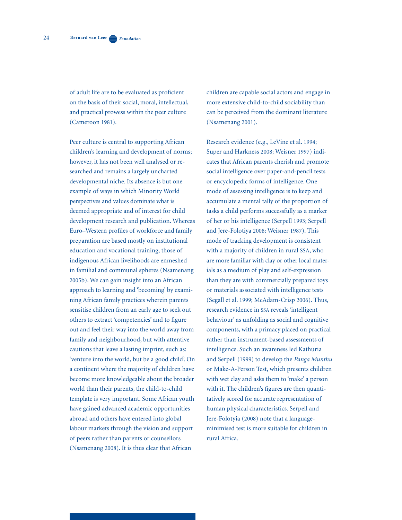of adult life are to be evaluated as proficient on the basis of their social, moral, intellectual, and practical prowess within the peer culture (Cameroon 1981).

Peer culture is central to supporting African children's learning and development of norms; however, it has not been well analysed or researched and remains a largely uncharted developmental niche. Its absence is but one example of ways in which Minority World perspectives and values dominate what is deemed appropriate and of interest for child development research and publication. Whereas Euro–Western profiles of workforce and family preparation are based mostly on institutional education and vocational training, those of indigenous African livelihoods are enmeshed in familial and communal spheres (Nsamenang 2005b). We can gain insight into an African approach to learning and 'becoming' by examining African family practices wherein parents sensitise children from an early age to seek out others to extract 'competencies' and to figure out and feel their way into the world away from family and neighbourhood, but with attentive cautions that leave a lasting imprint, such as: 'venture into the world, but be a good child'. On a continent where the majority of children have become more knowledgeable about the broader world than their parents, the child-to-child template is very important. Some African youth have gained advanced academic opportunities abroad and others have entered into global labour markets through the vision and support of peers rather than parents or counsellors (Nsamenang 2008). It is thus clear that African

children are capable social actors and engage in more extensive child-to-child sociability than can be perceived from the dominant literature (Nsamenang 2001).

Research evidence (e.g., LeVine et al. 1994; Super and Harkness 2008; Weisner 1997) indicates that African parents cherish and promote social intelligence over paper-and-pencil tests or encyclopedic forms of intelligence. One mode of assessing intelligence is to keep and accumulate a mental tally of the proportion of tasks a child performs successfully as a marker of her or his intelligence (Serpell 1993; Serpell and Jere-Folotiya 2008; Weisner 1987). This mode of tracking development is consistent with a majority of children in rural SSA, who are more familiar with clay or other local materials as a medium of play and self-expression than they are with commercially prepared toys or materials associated with intelligence tests (Segall et al. 1999; McAdam-Crisp 2006). Thus, research evidence in SSA reveals 'intelligent behaviour' as unfolding as social and cognitive components, with a primacy placed on practical rather than instrument-based assessments of intelligence. Such an awareness led Kathuria and Serpell (1999) to develop the *Panga Munthu* or Make-A-Person Test, which presents children with wet clay and asks them to 'make' a person with it. The children's figures are then quantitatively scored for accurate representation of human physical characteristics. Serpell and Jere-Folotyia (2008) note that a languageminimised test is more suitable for children in rural Africa.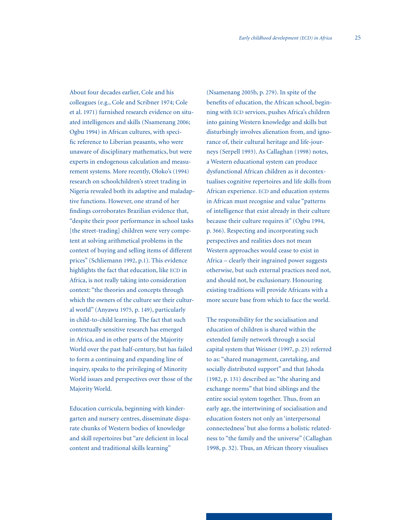About four decades earlier, Cole and his colleagues (e.g., Cole and Scribner 1974; Cole et al. 1971) furnished research evidence on situated intelligences and skills (Nsamenang 2006; Ogbu 1994) in African cultures, with specific reference to Liberian peasants, who were unaware of disciplinary mathematics, but were experts in endogenous calculation and measurement systems. More recently, Oloko's (1994) research on schoolchildren's street trading in Nigeria revealed both its adaptive and maladaptive functions. However, one strand of her findings corroborates Brazilian evidence that, "despite their poor performance in school tasks [the street-trading] children were very competent at solving arithmetical problems in the context of buying and selling items of different prices" (Schliemann 1992, p.1). This evidence highlights the fact that education, like ECD in Africa, is not really taking into consideration context: "the theories and concepts through which the owners of the culture see their cultural world" (Anyawu 1975, p. 149), particularly in child-to-child learning. The fact that such contextually sensitive research has emerged in Africa, and in other parts of the Majority World over the past half-century, but has failed to form a continuing and expanding line of inquiry, speaks to the privileging of Minority World issues and perspectives over those of the Majority World.

Education curricula, beginning with kindergarten and nursery centres, disseminate disparate chunks of Western bodies of knowledge and skill repertoires but "are deficient in local content and traditional skills learning"

(Nsamenang 2005b, p. 279). In spite of the benefits of education, the African school, beginning with ECD services, pushes Africa's children into gaining Western knowledge and skills but disturbingly involves alienation from, and ignorance of, their cultural heritage and life-journeys (Serpell 1993). As Callaghan (1998) notes, a Western educational system can produce dysfunctional African children as it decontextualises cognitive repertoires and life skills from African experience. ECD and education systems in African must recognise and value "patterns of intelligence that exist already in their culture because their culture requires it" (Ogbu 1994, p. 366). Respecting and incorporating such perspectives and realities does not mean Western approaches would cease to exist in Africa – clearly their ingrained power suggests otherwise, but such external practices need not, and should not, be exclusionary. Honouring existing traditions will provide Africans with a more secure base from which to face the world.

The responsibility for the socialisation and education of children is shared within the extended family network through a social capital system that Weisner (1997, p. 23) referred to as: "shared management, caretaking, and socially distributed support" and that Jahoda (1982, p. 131) described as: "the sharing and exchange norms" that bind siblings and the entire social system together. Thus, from an early age, the intertwining of socialisation and education fosters not only an 'interpersonal connectedness' but also forms a holistic relatedness to "the family and the universe" (Callaghan 1998, p. 32). Thus, an African theory visualises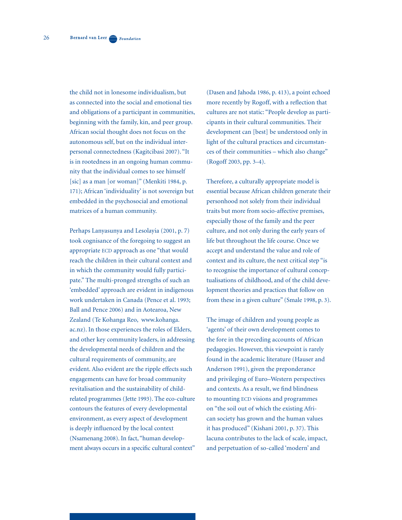the child not in lonesome individualism, but as connected into the social and emotional ties and obligations of a participant in communities, beginning with the family, kin, and peer group. African social thought does not focus on the autonomous self, but on the individual interpersonal connectedness (Kagitcibasi 2007). "It is in rootedness in an ongoing human community that the individual comes to see himself [sic] as a man [or woman]" (Menkiti 1984, p. 171); African 'individuality' is not sovereign but embedded in the psychosocial and emotional matrices of a human community.

Perhaps Lanyasunya and Lesolayia (2001, p. 7) took cognisance of the foregoing to suggest an appropriate ECD approach as one "that would reach the children in their cultural context and in which the community would fully participate." The multi-pronged strengths of such an 'embedded' approach are evident in indigenous work undertaken in Canada (Pence et al. 1993; Ball and Pence 2006) and in Aotearoa, New Zealand (Te Kohanga Reo, www.kohanga. ac.nz). In those experiences the roles of Elders, and other key community leaders, in addressing the developmental needs of children and the cultural requirements of community, are evident. Also evident are the ripple effects such engagements can have for broad community revitalisation and the sustainability of childrelated programmes (Jette 1993). The eco-culture contours the features of every developmental environment, as every aspect of development is deeply influenced by the local context (Nsamenang 2008). In fact, "human development always occurs in a specific cultural context"

(Dasen and Jahoda 1986, p. 413), a point echoed more recently by Rogoff, with a reflection that cultures are not static: "People develop as participants in their cultural communities. Their development can [best] be understood only in light of the cultural practices and circumstances of their communities – which also change" (Rogoff 2003, pp. 3–4).

Therefore, a culturally appropriate model is essential because African children generate their personhood not solely from their individual traits but more from socio-affective premises, especially those of the family and the peer culture, and not only during the early years of life but throughout the life course. Once we accept and understand the value and role of context and its culture, the next critical step "is to recognise the importance of cultural conceptualisations of childhood, and of the child development theories and practices that follow on from these in a given culture" (Smale 1998, p. 3).

The image of children and young people as 'agents' of their own development comes to the fore in the preceding accounts of African pedagogies. However, this viewpoint is rarely found in the academic literature (Hauser and Anderson 1991), given the preponderance and privileging of Euro–Western perspectives and contexts. As a result, we find blindness to mounting ECD visions and programmes on "the soil out of which the existing African society has grown and the human values it has produced" (Kishani 2001, p. 37). This lacuna contributes to the lack of scale, impact, and perpetuation of so-called 'modern' and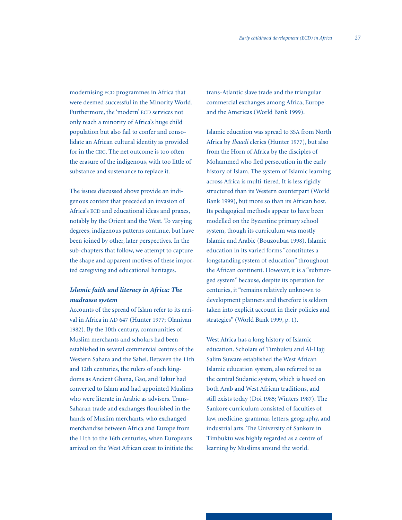modernising ECD programmes in Africa that were deemed successful in the Minority World. Furthermore, the 'modern' ECD services not only reach a minority of Africa's huge child population but also fail to confer and consolidate an African cultural identity as provided for in the CRC. The net outcome is too often the erasure of the indigenous, with too little of substance and sustenance to replace it.

The issues discussed above provide an indigenous context that preceded an invasion of Africa's ECD and educational ideas and praxes, notably by the Orient and the West. To varying degrees, indigenous patterns continue, but have been joined by other, later perspectives. In the sub-chapters that follow, we attempt to capture the shape and apparent motives of these imported caregiving and educational heritages.

## *Islamic faith and literacy in Africa: The madrassa system*

Accounts of the spread of Islam refer to its arrival in Africa in AD 647 (Hunter 1977; Olaniyan 1982). By the 10th century, communities of Muslim merchants and scholars had been established in several commercial centres of the Western Sahara and the Sahel. Between the 11th and 12th centuries, the rulers of such kingdoms as Ancient Ghana, Gao, and Takur had converted to Islam and had appointed Muslims who were literate in Arabic as advisers. Trans-Saharan trade and exchanges flourished in the hands of Muslim merchants, who exchanged merchandise between Africa and Europe from the 11th to the 16th centuries, when Europeans arrived on the West African coast to initiate the

trans-Atlantic slave trade and the triangular commercial exchanges among Africa, Europe and the Americas (World Bank 1999).

Islamic education was spread to SSA from North Africa by *Ibaadi* clerics (Hunter 1977), but also from the Horn of Africa by the disciples of Mohammed who fled persecution in the early history of Islam. The system of Islamic learning across Africa is multi-tiered. It is less rigidly structured than its Western counterpart (World Bank 1999), but more so than its African host. Its pedagogical methods appear to have been modelled on the Byzantine primary school system, though its curriculum was mostly Islamic and Arabic (Bouzoubaa 1998). Islamic education in its varied forms "constitutes a longstanding system of education" throughout the African continent. However, it is a "submerged system" because, despite its operation for centuries, it "remains relatively unknown to development planners and therefore is seldom taken into explicit account in their policies and strategies" (World Bank 1999, p. 1).

West Africa has a long history of Islamic education. Scholars of Timbuktu and Al-Hajj Salim Suware established the West African Islamic education system, also referred to as the central Sudanic system, which is based on both Arab and West African traditions, and still exists today (Doi 1985; Winters 1987). The Sankore curriculum consisted of faculties of law, medicine, grammar, letters, geography, and industrial arts. The University of Sankore in Timbuktu was highly regarded as a centre of learning by Muslims around the world.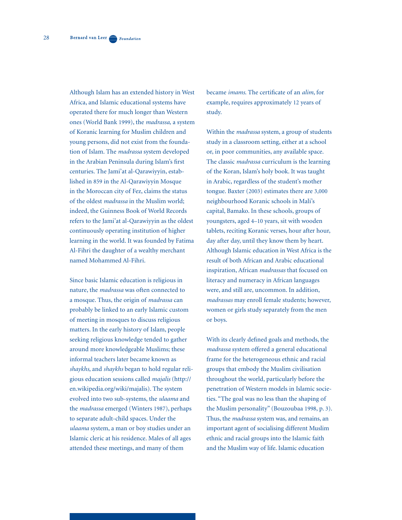Although Islam has an extended history in West Africa, and Islamic educational systems have operated there for much longer than Western ones (World Bank 1999), the *madrassa,* a system of Koranic learning for Muslim children and young persons, did not exist from the foundation of Islam. The *madrassa* system developed in the Arabian Peninsula during Islam's first centuries. The Jami'at al-Qarawiyyin, established in 859 in the Al-Qarawiyyin Mosque in the Moroccan city of Fez, claims the status of the oldest *madrassa* in the Muslim world; indeed, the Guinness Book of World Records refers to the Jami'at al-Qarawiyyin as the oldest continuously operating institution of higher learning in the world. It was founded by Fatima Al-Fihri the daughter of a wealthy merchant named Mohammed Al-Fihri.

Since basic Islamic education is religious in nature, the *madrassa* was often connected to a mosque. Thus, the origin of *madrassa* can probably be linked to an early Islamic custom of meeting in mosques to discuss religious matters. In the early history of Islam, people seeking religious knowledge tended to gather around more knowledgeable Muslims; these informal teachers later became known as *shaykhs*, and *shaykhs* began to hold regular religious education sessions called *majalis* (http:// en.wikipedia.org/wiki/majalis). The system evolved into two sub-systems, the *ulaama* and the *madrassa* emerged (Winters 1987), perhaps to separate adult-child spaces. Under the *ulaama* system, a man or boy studies under an Islamic cleric at his residence. Males of all ages attended these meetings, and many of them

became *imams*. The certificate of an *alim*, for example, requires approximately 12 years of study.

Within the *madrassa* system, a group of students study in a classroom setting, either at a school or, in poor communities, any available space. The classic *madrassa* curriculum is the learning of the Koran, Islam's holy book. It was taught in Arabic, regardless of the student's mother tongue. Baxter (2003) estimates there are 3,000 neighbourhood Koranic schools in Mali's capital, Bamako. In these schools, groups of youngsters, aged 4–10 years, sit with wooden tablets, reciting Koranic verses, hour after hour, day after day, until they know them by heart. Although Islamic education in West Africa is the result of both African and Arabic educational inspiration, African *madrassas* that focused on literacy and numeracy in African languages were, and still are, uncommon. In addition, *madrassas* may enroll female students; however, women or girls study separately from the men or boys.

With its clearly defined goals and methods, the *madrassa* system offered a general educational frame for the heterogeneous ethnic and racial groups that embody the Muslim civilisation throughout the world, particularly before the penetration of Western models in Islamic societies. "The goal was no less than the shaping of the Muslim personality" (Bouzoubaa 1998, p. 3). Thus, the *madrassa* system was, and remains, an important agent of socialising different Muslim ethnic and racial groups into the Islamic faith and the Muslim way of life. Islamic education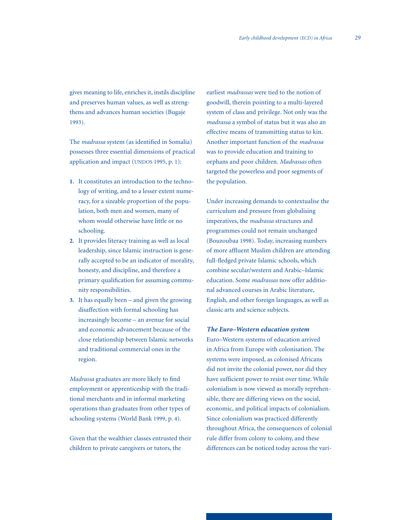gives meaning to life, enriches it, instils discipline and preserves human values, as well as strengthens and advances human societies (Bugaje 1993).

The *madrassa* system (as identified in Somalia) possesses three essential dimensions of practical application and impact (UNDOS 1995, p. 1):

- **1.** It constitutes an introduction to the techno logy of writing, and to a lesser extent nume racy, for a sizeable proportion of the popu lation, both men and women, many of whom would otherwise have little or no schooling.
- **2.** It provides literacy training as well as local leadership, since Islamic instruction is gene rally accepted to be an indicator of morality, honesty, and discipline, and therefore a primary qualification for assuming commu nity responsibilities.
- **3.** It has equally been and given the growing disaffection with formal schooling has increasingly become – an avenue for social and economic advancement because of the close relationship between Islamic networks and traditional commercial ones in the region.

*Madrassa* graduates are more likely to find employment or apprenticeship with the traditional merchants and in informal marketing operations than graduates from other types of schooling systems (World Bank 1999, p. 4).

Given that the wealthier classes entrusted their children to private caregivers or tutors, the

earliest *madrassas* were tied to the notion of goodwill, therein pointing to a multi-layered system of class and privilege. Not only was the *madrassa* a symbol of status but it was also an effective means of transmitting status to kin. Another important function of the *madrassa*  was to provide education and training to orphans and poor children. *Madrassas* often targeted the powerless and poor segments of the population.

Under increasing demands to contextualise the curriculum and pressure from globalising imperatives, the *madrassa* structures and programmes could not remain unchanged (Bouzoubaa 1998). Today, increasing numbers of more affluent Muslim children are attending full-fledged private Islamic schools, which combine secular/western and Arabic–Islamic education. Some *madrassas* now offer additional advanced courses in Arabic literature, English, and other foreign languages, as well as classic arts and science subjects.

## *The Euro–Western education system*

Euro–Western systems of education arrived in Africa from Europe with colonisation. The systems were imposed, as colonised Africans did not invite the colonial power, nor did they have sufficient power to resist over time. While colonialism is now viewed as morally reprehensible, there are differing views on the social, economic, and political impacts of colonialism. Since colonialism was practiced differently throughout Africa, the consequences of colonial rule differ from colony to colony, and these differences can be noticed today across the vari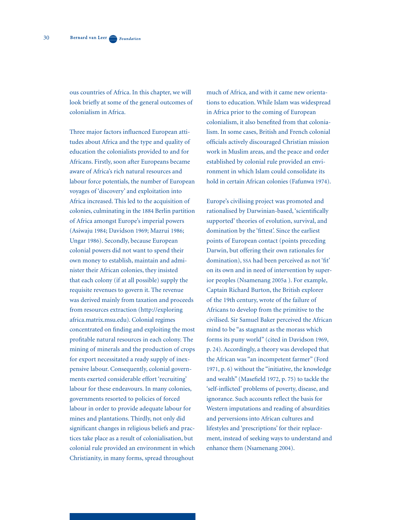ous countries of Africa. In this chapter, we will look briefly at some of the general outcomes of colonialism in Africa.

Three major factors influenced European attitudes about Africa and the type and quality of education the colonialists provided to and for Africans. Firstly, soon after Europeans became aware of Africa's rich natural resources and labour force potentials, the number of European voyages of 'discovery' and exploitation into Africa increased. This led to the acquisition of colonies, culminating in the 1884 Berlin partition of Africa amongst Europe's imperial powers (Asiwaju 1984; Davidson 1969; Mazrui 1986; Ungar 1986). Secondly, because European colonial powers did not want to spend their own money to establish, maintain and administer their African colonies, they insisted that each colony (if at all possible) supply the requisite revenues to govern it. The revenue was derived mainly from taxation and proceeds from resources extraction (http://exploring africa.matrix.msu.edu). Colonial regimes concentrated on finding and exploiting the most profitable natural resources in each colony. The mining of minerals and the production of crops for export necessitated a ready supply of inexpensive labour. Consequently, colonial governments exerted considerable effort 'recruiting' labour for these endeavours. In many colonies, governments resorted to policies of forced labour in order to provide adequate labour for mines and plantations. Thirdly, not only did significant changes in religious beliefs and practices take place as a result of colonialisation, but colonial rule provided an environment in which Christianity, in many forms, spread throughout

much of Africa, and with it came new orientations to education. While Islam was widespread in Africa prior to the coming of European colonialism, it also benefited from that colonialism. In some cases, British and French colonial officials actively discouraged Christian mission work in Muslim areas, and the peace and order established by colonial rule provided an environment in which Islam could consolidate its hold in certain African colonies (Fafunwa 1974).

Europe's civilising project was promoted and rationalised by Darwinian-based, 'scientifically supported' theories of evolution, survival, and domination by the 'fittest'. Since the earliest points of European contact (points preceding Darwin, but offering their own rationales for domination), SSA had been perceived as not 'fit' on its own and in need of intervention by superior peoples (Nsamenang 2005a ). For example, Captain Richard Burton, the British explorer of the 19th century, wrote of the failure of Africans to develop from the primitive to the civilised. Sir Samuel Baker perceived the African mind to be "as stagnant as the morass which forms its puny world" (cited in Davidson 1969, p. 24). Accordingly, a theory was developed that the African was "an incompetent farmer" (Ford 1971, p. 6) without the "initiative, the knowledge and wealth" (Masefield 1972, p. 75) to tackle the 'self-inflicted' problems of poverty, disease, and ignorance. Such accounts reflect the basis for Western imputations and reading of absurdities and perversions into African cultures and lifestyles and 'prescriptions' for their replacement, instead of seeking ways to understand and enhance them (Nsamenang 2004).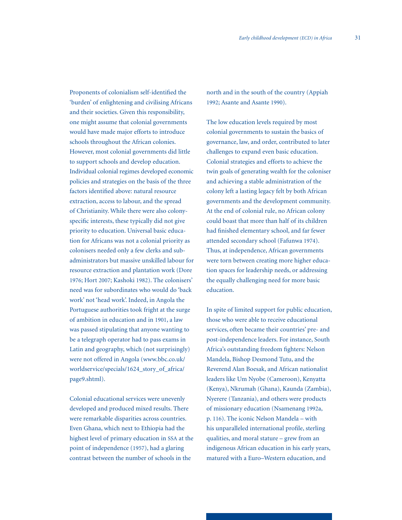Proponents of colonialism self-identified the 'burden' of enlightening and civilising Africans and their societies. Given this responsibility, one might assume that colonial governments would have made major efforts to introduce schools throughout the African colonies. However, most colonial governments did little to support schools and develop education. Individual colonial regimes developed economic policies and strategies on the basis of the three factors identified above: natural resource extraction, access to labour, and the spread of Christianity. While there were also colonyspecific interests, these typically did not give priority to education. Universal basic education for Africans was not a colonial priority as colonisers needed only a few clerks and subadministrators but massive unskilled labour for resource extraction and plantation work (Dore 1976; Hort 2007; Kashoki 1982). The colonisers' need was for subordinates who would do 'back work' not 'head work'. Indeed, in Angola the Portuguese authorities took fright at the surge of ambition in education and in 1901, a law was passed stipulating that anyone wanting to be a telegraph operator had to pass exams in Latin and geography, which (not surprisingly) were not offered in Angola (www.bbc.co.uk/ worldservice/specials/1624\_story\_of\_africa/ page9.shtml).

Colonial educational services were unevenly developed and produced mixed results. There were remarkable disparities across countries. Even Ghana, which next to Ethiopia had the highest level of primary education in SSA at the point of independence (1957), had a glaring contrast between the number of schools in the

north and in the south of the country (Appiah 1992; Asante and Asante 1990).

The low education levels required by most colonial governments to sustain the basics of governance, law, and order, contributed to later challenges to expand even basic education. Colonial strategies and efforts to achieve the twin goals of generating wealth for the coloniser and achieving a stable administration of the colony left a lasting legacy felt by both African governments and the development community. At the end of colonial rule, no African colony could boast that more than half of its children had finished elementary school, and far fewer attended secondary school (Fafunwa 1974). Thus, at independence, African governments were torn between creating more higher education spaces for leadership needs, or addressing the equally challenging need for more basic education.

In spite of limited support for public education, those who were able to receive educational services, often became their countries' pre- and post-independence leaders. For instance, South Africa's outstanding freedom fighters: Nelson Mandela, Bishop Desmond Tutu, and the Reverend Alan Boesak, and African nationalist leaders like Um Nyobe (Cameroon), Kenyatta (Kenya), Nkrumah (Ghana), Kaunda (Zambia), Nyerere (Tanzania), and others were products of missionary education (Nsamenang 1992a, p. 116). The iconic Nelson Mandela – with his unparalleled international profile, sterling qualities, and moral stature – grew from an indigenous African education in his early years, matured with a Euro–Western education, and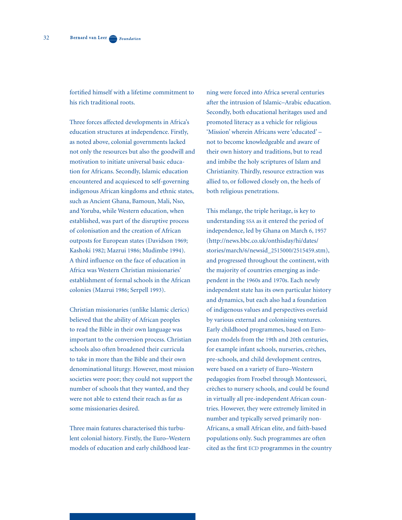fortified himself with a lifetime commitment to his rich traditional roots.

Three forces affected developments in Africa's education structures at independence. Firstly, as noted above, colonial governments lacked not only the resources but also the goodwill and motivation to initiate universal basic education for Africans. Secondly, Islamic education encountered and acquiesced to self-governing indigenous African kingdoms and ethnic states, such as Ancient Ghana, Bamoun, Mali, Nso, and Yoruba, while Western education, when established, was part of the disruptive process of colonisation and the creation of African outposts for European states (Davidson 1969; Kashoki 1982; Mazrui 1986; Mudimbe 1994). A third influence on the face of education in Africa was Western Christian missionaries' establishment of formal schools in the African colonies (Mazrui 1986; Serpell 1993).

Christian missionaries (unlike Islamic clerics) believed that the ability of African peoples to read the Bible in their own language was important to the conversion process. Christian schools also often broadened their curricula to take in more than the Bible and their own denominational liturgy. However, most mission societies were poor; they could not support the number of schools that they wanted, and they were not able to extend their reach as far as some missionaries desired.

Three main features characterised this turbulent colonial history. Firstly, the Euro–Western models of education and early childhood learning were forced into Africa several centuries after the intrusion of Islamic–Arabic education. Secondly, both educational heritages used and promoted literacy as a vehicle for religious 'Mission' wherein Africans were 'educated' – not to become knowledgeable and aware of their own history and traditions, but to read and imbibe the holy scriptures of Islam and Christianity. Thirdly, resource extraction was allied to, or followed closely on, the heels of both religious penetrations.

This mélange, the triple heritage, is key to understanding SSA as it entered the period of independence, led by Ghana on March 6, 1957 (http://news.bbc.co.uk/onthisday/hi/dates/ stories/march/6/newsid\_2515000/2515459.stm), and progressed throughout the continent, with the majority of countries emerging as independent in the 1960s and 1970s. Each newly independent state has its own particular history and dynamics, but each also had a foundation of indigenous values and perspectives overlaid by various external and colonising ventures. Early childhood programmes, based on European models from the 19th and 20th centuries, for example infant schools, nurseries, crèches, pre-schools, and child development centres, were based on a variety of Euro–Western pedagogies from Froebel through Montessori, crèches to nursery schools, and could be found in virtually all pre-independent African countries. However, they were extremely limited in number and typically served primarily non-Africans, a small African elite, and faith-based populations only. Such programmes are often cited as the first ECD programmes in the country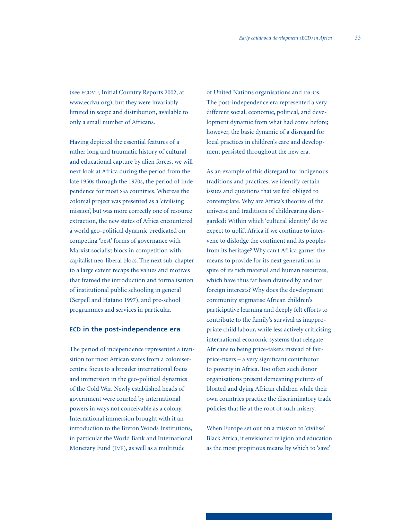(see ECDVU, Initial Country Reports 2002, at www.ecdvu.org), but they were invariably limited in scope and distribution, available to only a small number of Africans.

Having depicted the essential features of a rather long and traumatic history of cultural and educational capture by alien forces, we will next look at Africa during the period from the late 1950s through the 1970s, the period of independence for most SSA countries. Whereas the colonial project was presented as a 'civilising mission', but was more correctly one of resource extraction, the new states of Africa encountered a world geo-political dynamic predicated on competing 'best' forms of governance with Marxist socialist blocs in competition with capitalist neo-liberal blocs. The next sub-chapter to a large extent recaps the values and motives that framed the introduction and formalisation of institutional public schooling in general (Serpell and Hatano 1997), and pre-school programmes and services in particular.

## **ECD in the post-independence era**

The period of independence represented a transition for most African states from a colonisercentric focus to a broader international focus and immersion in the geo-political dynamics of the Cold War. Newly established heads of government were courted by international powers in ways not conceivable as a colony. International immersion brought with it an introduction to the Breton Woods Institutions, in particular the World Bank and International Monetary Fund (IMF), as well as a multitude

of United Nations organisations and INGOs. The post-independence era represented a very different social, economic, political, and development dynamic from what had come before; however, the basic dynamic of a disregard for local practices in children's care and development persisted throughout the new era.

As an example of this disregard for indigenous traditions and practices, we identify certain issues and questions that we feel obliged to contemplate. Why are Africa's theories of the universe and traditions of childrearing disregarded? Within which 'cultural identity' do we expect to uplift Africa if we continue to intervene to dislodge the continent and its peoples from its heritage? Why can't Africa garner the means to provide for its next generations in spite of its rich material and human resources, which have thus far been drained by and for foreign interests? Why does the development community stigmatise African children's participative learning and deeply felt efforts to contribute to the family's survival as inappropriate child labour, while less actively criticising international economic systems that relegate Africans to being price-takers instead of fairprice-fixers – a very significant contributor to poverty in Africa. Too often such donor organisations present demeaning pictures of bloated and dying African children while their own countries practice the discriminatory trade policies that lie at the root of such misery.

When Europe set out on a mission to 'civilise' Black Africa, it envisioned religion and education as the most propitious means by which to 'save'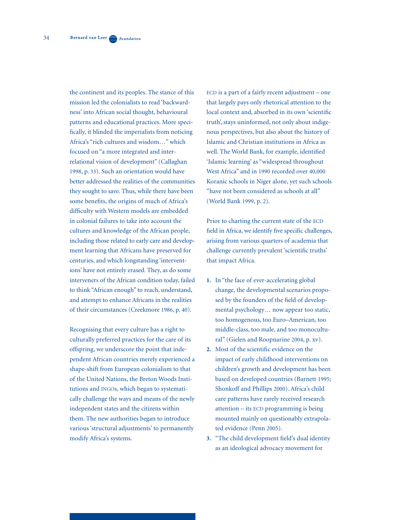the continent and its peoples. The stance of this mission led the colonialists to read 'backwardness' into African social thought, behavioural patterns and educational practices. More specifically, it blinded the imperialists from noticing Africa's "rich cultures and wisdom…" which focused on "a more integrated and interrelational vision of development" (Callaghan 1998, p. 33). Such an orientation would have better addressed the realities of the communities they sought to save. Thus, while there have been some benefits, the origins of much of Africa's difficulty with Western models are embedded in colonial failures to take into account the cultures and knowledge of the African people, including those related to early care and development learning that Africans have preserved for centuries, and which longstanding 'interventions' have not entirely erased. They, as do some interveners of the African condition today, failed to think "African enough" to reach, understand, and attempt to enhance Africans in the realities of their circumstances (Creekmore 1986, p. 40).

Recognising that every culture has a right to culturally preferred practices for the care of its offspring, we underscore the point that independent African countries merely experienced a shape-shift from European colonialism to that of the United Nations, the Breton Woods Institutions and INGOs, which began to systematically challenge the ways and means of the newly independent states and the citizens within them. The new authorities began to introduce various 'structural adjustments' to permanently modify Africa's systems.

ECD is a part of a fairly recent adjustment – one that largely pays only rhetorical attention to the local context and, absorbed in its own 'scientific truth', stays uninformed, not only about indigenous perspectives, but also about the history of Islamic and Christian institutions in Africa as well. The World Bank, for example, identified 'Islamic learning' as "widespread throughout West Africa" and in 1990 recorded over 40,000 Koranic schools in Niger alone, yet such schools "have not been considered as schools at all" (World Bank 1999, p. 2).

Prior to charting the current state of the ECD field in Africa, we identify five specific challenges, arising from various quarters of academia that challenge currently prevalent 'scientific truths' that impact Africa.

- **1.** In "the face of ever-accelerating global change, the developmental scenarios propo sed by the founders of the field of develop mental psychology… now appear too static, too homogenous, too Euro–American, too middle-class, too male, and too monocultu ral" (Gielen and Roopnarine 2004, p. xv).
- **2.** Most of the scientific evidence on the impact of early childhood interventions on children's growth and development has been based on developed countries (Barnett 1995; Shonkoff and Phillips 2000). Africa's child care patterns have rarely received research attention – its ECD programming is being mounted mainly on questionably extrapola ted evidence (Penn 2005).
- **3.** "The child development field's dual identity as an ideological advocacy movement for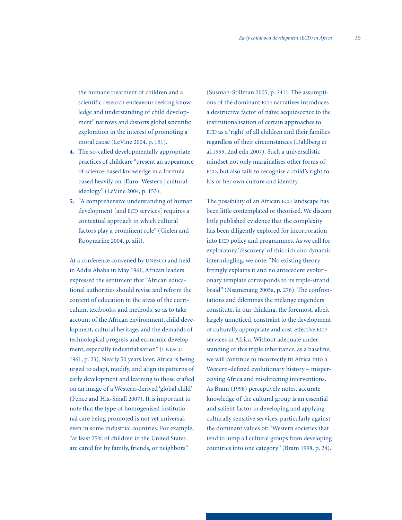the humane treatment of children and a scientific research endeavour seeking know ledge and understanding of child develop ment" narrows and distorts global scientific exploration in the interest of promoting a moral cause (LeVine 2004, p. 151).

- **4.** The so-called developmentally appropriate practices of childcare "present an appearance of science-based knowledge in a formula based heavily on [Euro–Western] cultural ideology" (LeVine 2004, p. 153).
- **5.** "A comprehensive understanding of human development [and ECD services] requires a contextual approach in which cultural factors play a prominent role" (Gielen and Roopnarine 2004, p. xiii).

At a conference convened by UNESCO and held in Addis Ababa in May 1961, African leaders expressed the sentiment that "African educational authorities should revise and reform the content of education in the areas of the curriculum, textbooks, and methods, so as to take account of the African environment, child development, cultural heritage, and the demands of technological progress and economic development, especially industrialisation" (UNESCO 1961, p. 23). Nearly 50 years later, Africa is being urged to adapt, modify, and align its patterns of early development and learning to those crafted on an image of a Western-derived 'global child' (Pence and Hix-Small 2007). It is important to note that the type of homogenised institutional care being promoted is not yet universal, even in some industrial countries. For example, "at least 25% of children in the United States are cared for by family, friends, or neighbors"

(Susman-Stillman 2005, p. 241). The assumptions of the dominant ECD narratives introduces a destructive factor of naïve acquiescence to the institutionalisation of certain approaches to ECD as a 'right' of all children and their families regardless of their circumstances (Dahlberg et al.1999, 2nd edn 2007). Such a universalistic mindset not only marginalises other forms of ECD, but also fails to recognise a child's right to his or her own culture and identity.

The possibility of an African ECD landscape has been little contemplated or theorised. We discern little published evidence that the complexity has been diligently explored for incorporation into ECD policy and programmes. As we call for exploratory 'discovery' of this rich and dynamic intermingling, we note: "No existing theory fittingly explains it and no antecedent evolutionary template corresponds to its triple-strand braid" (Nsamenang 2005a, p. 276). The confrontations and dilemmas the mélange engenders constitute, in our thinking, the foremost, albeit largely unnoticed, constraint to the development of culturally appropriate and cost-effective ECD services in Africa. Without adequate understanding of this triple inheritance, as a baseline, we will continue to incorrectly fit Africa into a Western-defined evolutionary history – misperceiving Africa and misdirecting interventions. As Bram (1998) perceptively notes, accurate knowledge of the cultural group is an essential and salient factor in developing and applying culturally sensitive services, particularly against the dominant values of: "Western societies that tend to lump all cultural groups from developing countries into one category" (Bram 1998, p. 24).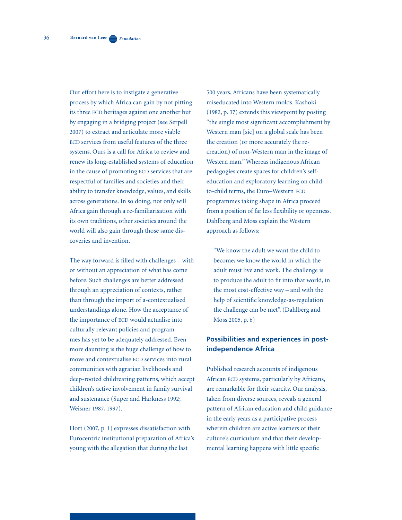Our effort here is to instigate a generative process by which Africa can gain by not pitting its three ECD heritages against one another but by engaging in a bridging project (see Serpell 2007) to extract and articulate more viable ECD services from useful features of the three systems. Ours is a call for Africa to review and renew its long-established systems of education in the cause of promoting ECD services that are respectful of families and societies and their ability to transfer knowledge, values, and skills across generations. In so doing, not only will Africa gain through a re-familiarisation with its own traditions, other societies around the world will also gain through those same discoveries and invention.

The way forward is filled with challenges – with or without an appreciation of what has come before. Such challenges are better addressed through an appreciation of contexts, rather than through the import of a-contextualised understandings alone. How the acceptance of the importance of ECD would actualise into culturally relevant policies and programmes has yet to be adequately addressed. Even more daunting is the huge challenge of how to move and contextualise ECD services into rural communities with agrarian livelihoods and deep-rooted childrearing patterns, which accept children's active involvement in family survival and sustenance (Super and Harkness 1992; Weisner 1987, 1997).

Hort (2007, p. 1) expresses dissatisfaction with Eurocentric institutional preparation of Africa's young with the allegation that during the last

500 years, Africans have been systematically miseducated into Western molds. Kashoki (1982, p. 37) extends this viewpoint by posting "the single most significant accomplishment by Western man [sic] on a global scale has been the creation (or more accurately the recreation) of non-Western man in the image of Western man." Whereas indigenous African pedagogies create spaces for children's selfeducation and exploratory learning on childto-child terms, the Euro–Western ECD programmes taking shape in Africa proceed from a position of far less flexibility or openness. Dahlberg and Moss explain the Western approach as follows:

"We know the adult we want the child to become; we know the world in which the adult must live and work. The challenge is to produce the adult to fit into that world, in the most cost-effective way – and with the help of scientific knowledge-as-regulation the challenge can be met". (Dahlberg and Moss 2005, p. 6)

## **Possibilities and experiences in postindependence Africa**

Published research accounts of indigenous African ECD systems, particularly by Africans, are remarkable for their scarcity. Our analysis, taken from diverse sources, reveals a general pattern of African education and child guidance in the early years as a participative process wherein children are active learners of their culture's curriculum and that their developmental learning happens with little specific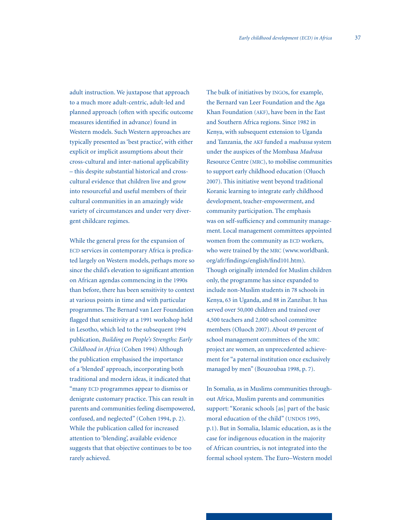adult instruction. We juxtapose that approach to a much more adult-centric, adult-led and planned approach (often with specific outcome measures identified in advance) found in Western models. Such Western approaches are typically presented as 'best practice', with either explicit or implicit assumptions about their cross-cultural and inter-national applicability – this despite substantial historical and crosscultural evidence that children live and grow into resourceful and useful members of their cultural communities in an amazingly wide variety of circumstances and under very divergent childcare regimes.

While the general press for the expansion of ECD services in contemporary Africa is predicated largely on Western models, perhaps more so since the child's elevation to significant attention on African agendas commencing in the 1990s than before, there has been sensitivity to context at various points in time and with particular programmes. The Bernard van Leer Foundation flagged that sensitivity at a 1991 workshop held in Lesotho, which led to the subsequent 1994 publication, *Building on People's Strengths: Early Childhood in Africa* (Cohen 1994) Although the publication emphasised the importance of a 'blended' approach, incorporating both traditional and modern ideas, it indicated that "many ECD programmes appear to dismiss or denigrate customary practice. This can result in parents and communities feeling disempowered, confused, and neglected" (Cohen 1994, p. 2). While the publication called for increased attention to 'blending', available evidence suggests that that objective continues to be too rarely achieved.

The bulk of initiatives by INGOs, for example, the Bernard van Leer Foundation and the Aga Khan Foundation (AKF), have been in the East and Southern Africa regions. Since 1982 in Kenya, with subsequent extension to Uganda and Tanzania, the AKF funded a *madrassa* system under the auspices of the Mombasa *Madrasa*  Resource Centre (MRC), to mobilise communities to support early childhood education (Oluoch 2007). This initiative went beyond traditional Koranic learning to integrate early childhood development, teacher-empowerment, and community participation. The emphasis was on self-sufficiency and community management. Local management committees appointed women from the community as ECD workers, who were trained by the MRC (www.worldbank. org/afr/findings/english/find101.htm). Though originally intended for Muslim children only, the programme has since expanded to include non-Muslim students in 78 schools in Kenya, 63 in Uganda, and 88 in Zanzibar. It has served over 50,000 children and trained over 4,500 teachers and 2,000 school committee members (Oluoch 2007). About 49 percent of school management committees of the MRC project are women, an unprecedented achievement for "a paternal institution once exclusively managed by men" (Bouzoubaa 1998, p. 7).

In Somalia, as in Muslims communities throughout Africa, Muslim parents and communities support: "Koranic schools [as] part of the basic moral education of the child" (UNDOS 1995, p.1). But in Somalia, Islamic education, as is the case for indigenous education in the majority of African countries, is not integrated into the formal school system. The Euro–Western model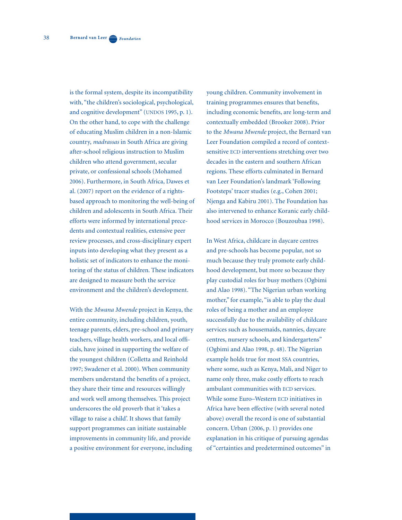is the formal system, despite its incompatibility with, "the children's sociological, psychological, and cognitive development" (UNDOS 1995, p. 1). On the other hand, to cope with the challenge of educating Muslim children in a non-Islamic country, *madrassas* in South Africa are giving after-school religious instruction to Muslim children who attend government, secular private, or confessional schools (Mohamed 2006). Furthermore, in South Africa, Dawes et al. (2007) report on the evidence of a rightsbased approach to monitoring the well-being of children and adolescents in South Africa. Their efforts were informed by international precedents and contextual realities, extensive peer review processes, and cross-disciplinary expert inputs into developing what they present as a holistic set of indicators to enhance the monitoring of the status of children. These indicators are designed to measure both the service environment and the children's development.

With the *Mwana Mwende* project in Kenya, the entire community, including children, youth, teenage parents, elders, pre-school and primary teachers, village health workers, and local officials, have joined in supporting the welfare of the youngest children (Colletta and Reinhold 1997; Swadener et al. 2000). When community members understand the benefits of a project, they share their time and resources willingly and work well among themselves. This project underscores the old proverb that it 'takes a village to raise a child'. It shows that family support programmes can initiate sustainable improvements in community life, and provide a positive environment for everyone, including

young children. Community involvement in training programmes ensures that benefits, including economic benefits, are long-term and contextually embedded (Brooker 2008). Prior to the *Mwana Mwende* project, the Bernard van Leer Foundation compiled a record of contextsensitive ECD interventions stretching over two decades in the eastern and southern African regions. These efforts culminated in Bernard van Leer Foundation's landmark 'Following Footsteps' tracer studies (e.g., Cohen 2001; Njenga and Kabiru 2001). The Foundation has also intervened to enhance Koranic early childhood services in Morocco (Bouzoubaa 1998).

In West Africa, childcare in daycare centres and pre-schools has become popular, not so much because they truly promote early childhood development, but more so because they play custodial roles for busy mothers (Ogbimi and Alao 1998). "The Nigerian urban working mother," for example, "is able to play the dual roles of being a mother and an employee successfully due to the availability of childcare services such as housemaids, nannies, daycare centres, nursery schools, and kindergartens" (Ogbimi and Alao 1998, p. 48). The Nigerian example holds true for most SSA countries, where some, such as Kenya, Mali, and Niger to name only three, make costly efforts to reach ambulant communities with ECD services. While some Euro–Western ECD initiatives in Africa have been effective (with several noted above) overall the record is one of substantial concern. Urban (2006, p. 1) provides one explanation in his critique of pursuing agendas of "certainties and predetermined outcomes" in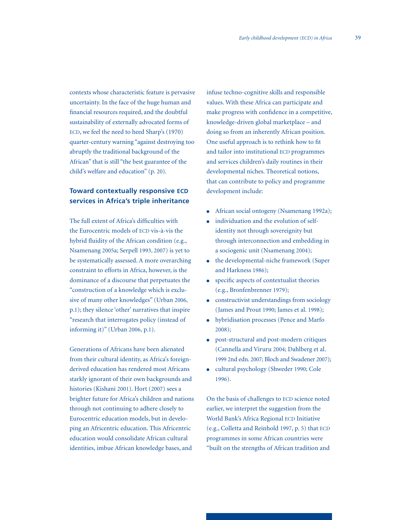contexts whose characteristic feature is pervasive uncertainty. In the face of the huge human and financial resources required, and the doubtful sustainability of externally advocated forms of ECD, we feel the need to heed Sharp's (1970) quarter-century warning "against destroying too abruptly the traditional background of the African" that is still "the best guarantee of the child's welfare and education" (p. 20).

# **Toward contextually responsive ECD services in Africa's triple inheritance**

The full extent of Africa's difficulties with the Eurocentric models of ECD vis-à-vis the hybrid fluidity of the African condition (e.g., Nsamenang 2005a; Serpell 1993, 2007) is yet to be systematically assessed. A more overarching constraint to efforts in Africa, however, is the dominance of a discourse that perpetuates the "construction of a knowledge which is exclusive of many other knowledges" (Urban 2006, p.1); they silence 'other' narratives that inspire "research that interrogates policy (instead of informing it)" (Urban 2006, p.1).

Generations of Africans have been alienated from their cultural identity, as Africa's foreignderived education has rendered most Africans starkly ignorant of their own backgrounds and histories (Kishani 2001). Hort (2007) sees a brighter future for Africa's children and nations through not continuing to adhere closely to Eurocentric education models, but in developing an Africentric education. This Africentric education would consolidate African cultural identities, imbue African knowledge bases, and

infuse techno-cognitive skills and responsible values. With these Africa can participate and make progress with confidence in a competitive, knowledge-driven global marketplace – and doing so from an inherently African position. One useful approach is to rethink how to fit and tailor into institutional ECD programmes and services children's daily routines in their developmental niches. Theoretical notions, that can contribute to policy and programme development include:

- African social ontogeny (Nsamenang 1992a);
- individuation and the evolution of self identity not through sovereignity but through interconnection and embedding in a sociogenic unit (Nsamenang 2004);
- the developmental-niche framework (Super and Harkness 1986);
- specific aspects of contextualist theories (e.g., Bronfenbrenner 1979);
- constructivist understandings from sociology (James and Prout 1990; James et al. 1998);
- hybridisation processes (Pence and Marfo 2008);
- post-structural and post-modern critiques (Cannella and Viruru 2004; Dahlberg et al. 1999 2nd edn. 2007; Bloch and Swadener 2007);
- cultural psychology (Shweder 1990; Cole 1996).

On the basis of challenges to ECD science noted earlier, we interpret the suggestion from the World Bank's Africa Regional ECD Initiative (e.g., Colletta and Reinhold 1997, p. 5) that ECD programmes in some African countries were "built on the strengths of African tradition and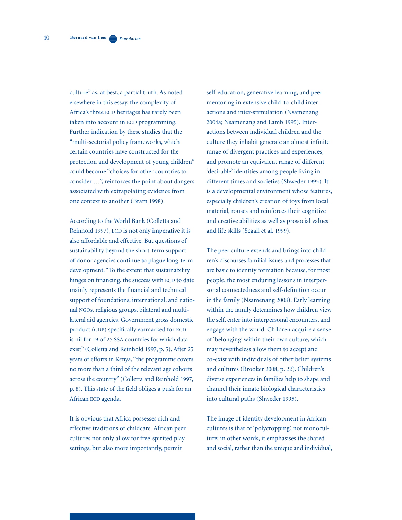culture" as, at best, a partial truth. As noted elsewhere in this essay, the complexity of Africa's three ECD heritages has rarely been taken into account in ECD programming. Further indication by these studies that the "multi-sectorial policy frameworks, which certain countries have constructed for the protection and development of young children" could become "choices for other countries to consider …", reinforces the point about dangers associated with extrapolating evidence from one context to another (Bram 1998).

According to the World Bank (Colletta and Reinhold 1997), ECD is not only imperative it is also affordable and effective. But questions of sustainability beyond the short-term support of donor agencies continue to plague long-term development. "To the extent that sustainability hinges on financing, the success with ECD to date mainly represents the financial and technical support of foundations, international, and national NGOs, religious groups, bilateral and multilateral aid agencies. Government gross domestic product (GDP) specifically earmarked for ECD is nil for 19 of 25 SSA countries for which data exist" (Colletta and Reinhold 1997, p. 5). After 25 years of efforts in Kenya, "the programme covers no more than a third of the relevant age cohorts across the country" (Colletta and Reinhold 1997, p. 8). This state of the field obliges a push for an African ECD agenda.

It is obvious that Africa possesses rich and effective traditions of childcare. African peer cultures not only allow for free-spirited play settings, but also more importantly, permit

self-education, generative learning, and peer mentoring in extensive child-to-child interactions and inter-stimulation (Nsamenang 2004a; Nsamenang and Lamb 1995). Interactions between individual children and the culture they inhabit generate an almost infinite range of divergent practices and experiences, and promote an equivalent range of different 'desirable' identities among people living in different times and societies (Shweder 1995). It is a developmental environment whose features, especially children's creation of toys from local material, rouses and reinforces their cognitive and creative abilities as well as prosocial values and life skills (Segall et al. 1999).

The peer culture extends and brings into children's discourses familial issues and processes that are basic to identity formation because, for most people, the most enduring lessons in interpersonal connectedness and self-definition occur in the family (Nsamenang 2008). Early learning within the family determines how children view the self, enter into interpersonal encounters, and engage with the world. Children acquire a sense of 'belonging' within their own culture, which may nevertheless allow them to accept and co-exist with individuals of other belief systems and cultures (Brooker 2008, p. 22). Children's diverse experiences in families help to shape and channel their innate biological characteristics into cultural paths (Shweder 1995).

The image of identity development in African cultures is that of 'polycropping', not monoculture; in other words, it emphasises the shared and social, rather than the unique and individual,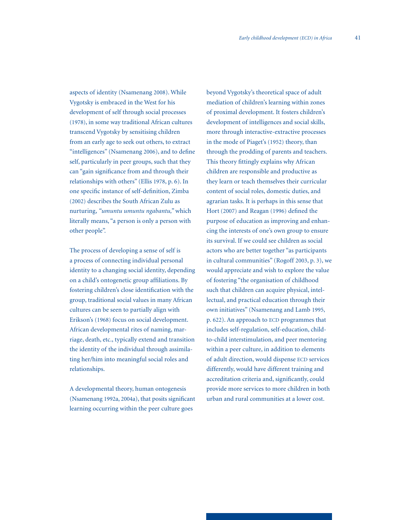41

aspects of identity (Nsamenang 2008). While Vygotsky is embraced in the West for his development of self through social processes (1978), in some way traditional African cultures transcend Vygotsky by sensitising children from an early age to seek out others, to extract "intelligences" (Nsamenang 2006), and to define self, particularly in peer groups, such that they can "gain significance from and through their relationships with others" (Ellis 1978, p. 6). In one specific instance of self-definition, Zimba (2002) describes the South African Zulu as nurturing, *"umuntu umuntu ngabantu,"* which literally means, "a person is only a person with other people".

The process of developing a sense of self is a process of connecting individual personal identity to a changing social identity, depending on a child's ontogenetic group affiliations. By fostering children's close identification with the group, traditional social values in many African cultures can be seen to partially align with Erikson's (1968) focus on social development. African developmental rites of naming, marriage, death, etc., typically extend and transition the identity of the individual through assimilating her/him into meaningful social roles and relationships.

A developmental theory, human ontogenesis (Nsamenang 1992a, 2004a), that posits significant learning occurring within the peer culture goes

beyond Vygotsky's theoretical space of adult mediation of children's learning within zones of proximal development. It fosters children's development of intelligences and social skills, more through interactive-extractive processes in the mode of Piaget's (1952) theory, than through the prodding of parents and teachers. This theory fittingly explains why African children are responsible and productive as they learn or teach themselves their curricular content of social roles, domestic duties, and agrarian tasks. It is perhaps in this sense that Hort (2007) and Reagan (1996) defined the purpose of education as improving and enhancing the interests of one's own group to ensure its survival. If we could see children as social actors who are better together "as participants in cultural communities" (Rogoff 2003, p. 3), we would appreciate and wish to explore the value of fostering "the organisation of childhood such that children can acquire physical, intellectual, and practical education through their own initiatives" (Nsamenang and Lamb 1995, p. 622). An approach to ECD programmes that includes self-regulation, self-education, childto-child interstimulation, and peer mentoring within a peer culture, in addition to elements of adult direction, would dispense ECD services differently, would have different training and accreditation criteria and, significantly, could provide more services to more children in both urban and rural communities at a lower cost.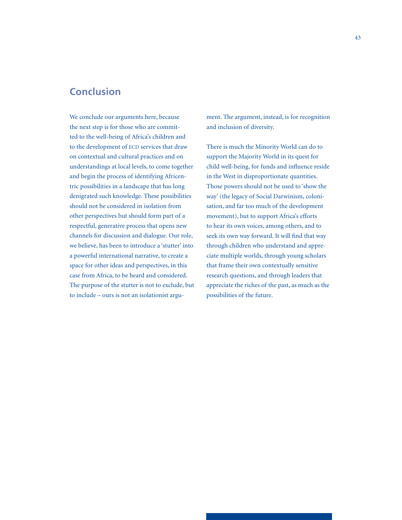# **Conclusion**

We conclude our arguments here, because the next step is for those who are committed to the well-being of Africa's children and to the development of ECD services that draw on contextual and cultural practices and on understandings at local levels, to come together and begin the process of identifying Africentric possibilities in a landscape that has long denigrated such knowledge. These possibilities should not be considered in isolation from other perspectives but should form part of a respectful, generative process that opens new channels for discussion and dialogue. Our role, we believe, has been to introduce a 'stutter' into a powerful international narrative, to create a space for other ideas and perspectives, in this case from Africa, to be heard and considered. The purpose of the stutter is not to exclude, but to include – ours is not an isolationist argument. The argument, instead, is for recognition and inclusion of diversity.

There is much the Minority World can do to support the Majority World in its quest for child well-being, for funds and influence reside in the West in disproportionate quantities. Those powers should not be used to 'show the way' (the legacy of Social Darwinism, colonisation, and far too much of the development movement), but to support Africa's efforts to hear its own voices, among others, and to seek its own way forward. It will find that way through children who understand and appreciate multiple worlds, through young scholars that frame their own contextually sensitive research questions, and through leaders that appreciate the riches of the past, as much as the possibilities of the future.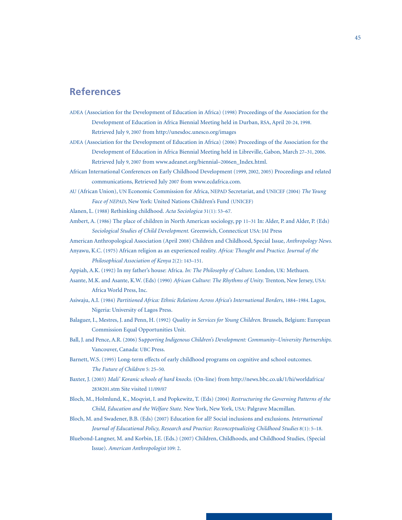# **References**

- ADEA (Association for the Development of Education in Africa) (1998) Proceedings of the Association for the Development of Education in Africa Biennial Meeting held in Durban, RSA, April 20-24, 1998. Retrieved July 9, 2007 from http://unesdoc.unesco.org/images
- ADEA (Association for the Development of Education in Africa) (2006) Proceedings of the Association for the Development of Education in Africa Biennial Meeting held in Libreville, Gabon, March 27–31, 2006. Retrieved July 9, 2007 from www.adeanet.org/biennial–2006en\_Index.html.
- African International Conferences on Early Childhood Development (1999, 2002, 2005) Proceedings and related communications, Retrieved July 2007 from www.ecdafrica.com.
- AU (African Union), UN Economic Commission for Africa, NEPAD Secretariat, and UNICEF (2004) *The Young Face of NEPAD,* New York: United Nations Children's Fund (UNICEF)
- Alanen, L. (1988) Rethinking childhood. *Acta Sociologica* 31(1): 53–67.
- Ambert, A. (1986) The place of children in North American sociology, pp 11–31 In: Alder, P. and Alder, P. (Eds) *Sociological Studies of Child Development.* Greenwich, Connecticut USA: JAI Press
- American Anthropological Association (April 2008) Children and Childhood, Special Issue, *Anthropology News.*
- Anyawu, K.C. (1975) African religion as an experienced reality. *Africa: Thought and Practice. Journal of the Philosophical Association of Kenya* 2(2): 143–151.
- Appiah, A.K. (1992) In my father's house: Africa. *In: The Philosophy of Culture.* London, UK: Methuen.
- Asante, M.K. and Asante, K.W. (Eds) (1990) *African Culture: The Rhythms of Unity.* Trenton, New Jersey, USA: Africa World Press, Inc.
- Asiwaju, A.I. (1984) *Partitioned Africa: Ethnic Relations Across Africa's International Borders,* 1884–1984. Lagos, Nigeria: University of Lagos Press.
- Balaguer, I., Mestres, J. and Penn, H. (1992) *Quality in Services for Young Children.* Brussels, Belgium: European Commission Equal Opportunities Unit.
- Ball, J. and Pence, A.R. (2006) S*upporting Indigenous Children's Development: Community–University Partnerships.* Vancouver, Canada: UBC Press.
- Barnett, W.S. (1995) Long-term effects of early childhood programs on cognitive and school outcomes. *The Future of Children* 5: 25–50.
- Baxter, J. (2003) *Mali' Koranic schools of hard knocks.* (On-line) from http://news.bbc.co.uk/1/hi/worldafrica/ 2838201.stm Site visited 11/09/07
- Bloch, M., Holmlund, K., Moqvist, I. and Popkewitz, T. (Eds) (2004) *Restructuring the Governing Patterns of the Child, Education and the Welfare State.* New York, New York, USA: Palgrave Macmillan.
- Bloch, M. and Swadener, B.B. (Eds) (2007) Education for all? Social inclusions and exclusions. *International Journal of Educational Policy, Research and Practice: Reconceptualizing Childhood Studies* 8(1): 5–18.
- Bluebond-Langner, M. and Korbin, J.E. (Eds.) (2007) Children, Childhoods, and Childhood Studies, (Special Issue). *American Anthropologist* 109: 2.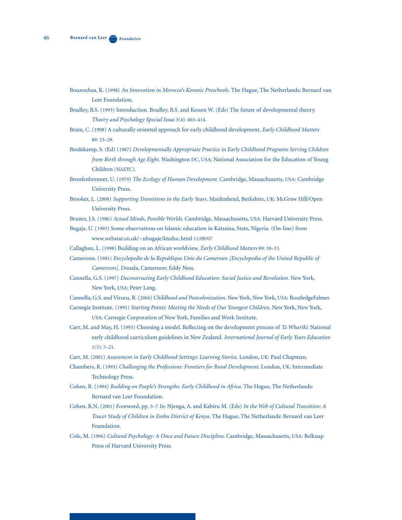- Bouzoubaa, K. (1998) *An Innovation in Morocco's Koranic Preschools.* The Hague, The Netherlands: Bernard van Leer Foundation.
- Bradley, B.S. (1993) Introduction. Bradley, B.S. and Kessen W. (Eds) The future of developmental theory. *Theory and Psychology Special Issue* 3(4): 403–414.
- Bram, C. (1998) A culturally oriented approach for early childhood development. *Early Childhood Matters* 89: 23–29.
- Bredekamp, S. (Ed) (1987) *Developmentally Appropriate Practice in Early Childhood Programs Serving Children from Birth through Age Eight.* Washington DC, USA: National Association for the Education of Young Children (NAEYC).
- Bronfenbrenner, U. (1979) *The Ecology of Human Development.* Cambridge, Massachusetts, USA: Cambridge University Press.
- Brooker, L. (2008) *Supporting Transitions in the Early Years.* Maidenhead, Berkshire, UK: McGraw Hill/Open University Press.
- Bruner, J.S. (1986) *Actual Minds, Possible Worlds.* Cambridge, Massachusetts, USA: Harvard University Press.
- Bugaje, U. (1993) Some observations on Islamic education in Katssina, State, Nigeria. (On-line) from www.webstar.co.uk/~ubugaje/kteduc.html 11/09/07
- Callaghan, L. (1998) Building on an African worldview. *Early Childhood Matters* 89: 30–33.
- Cameroon. (1981) *Encyclopedie de la Republique Unie du Cameroun [Encyclopedia of the United Republic of Cameroon].* Douala, Cameroon: Eddy Ness.
- Cannella, G.S. (1997) *Deconstructing Early Childhood Education: Social Justice and Revolution.* New York, New York, USA: Peter Lang.
- Cannella, G.S. and Viruru, R. (2004) *Childhood and Postcolonization.* New York, New York, USA: RoutledgeFalmer.
- Carnegie Institute. (1995) *Starting Points: Meeting the Needs of Our Youngest Children.* New York, New York, USA: Carnegie Corporation of New York, Families and Work Institute.
- Carr, M. and May, H. (1993) Choosing a model. Reflecting on the development process of *Te Whariki:* National early childhood curriculum guidelines in New Zealand. *International Journal of Early Years Education* 1(3): 7–21.
- Carr, M. (2001) *Assessment in Early Childhood Settings: Learning Stories.* London, UK: Paul Chapman.
- Chambers, R. (1993) *Challenging the Professions: Frontiers for Rural Development.* London, UK: Intermediate Technology Press.
- Cohen, R. (1994) *Building on People's Strengths: Early Childhood in Africa.* The Hague, The Netherlands: Bernard van Leer Foundation.
- Cohen, R.N. (2001) Foreword, pp. 5–7 *In:* Njenga, A. and Kabiru M. (Eds) *In the Web of Cultural Transition: A Tracer Study of Children in Embu District of Kenya.* The Hague, The Netherlands: Bernard van Leer Foundation.
- Cole, M. (1996) *Cultural Psychology: A Once and Future Discipline.* Cambridge, Massachusetts, USA: Belknap Press of Harvard University Press.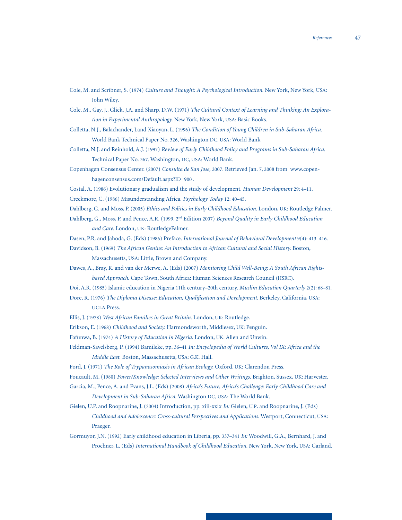- Cole, M. and Scribner, S. (1974) *Culture and Thought: A Psychological Introduction.* New York, New York, USA: John Wiley.
- Cole, M., Gay, J., Glick, J.A. and Sharp, D.W. (1971) *The Cultural Context of Learning and Thinking: An Explora tion in Experimental Anthropology.* New York, New York, USA: Basic Books.
- Colletta, N.J., Balachander, J.and Xiaoyan, L. (1996) *The Condition of Young Children in Sub-Saharan Africa.*  World Bank Technical Paper No. 326, Washington DC, USA: World Bank
- Colletta, N.J. and Reinhold, A.J. (1997) *Review of Early Childhood Policy and Programs in Sub-Saharan Africa.*  Technical Paper No. 367. Washington, DC, USA: World Bank.
- Copenhagen Consensus Center. (2007) *Consulta de San Jose,* 2007. Retrieved Jan. 7, 2008 from www.copen hagenconsensus.com/Default.aspx?ID=900 .
- Costal, A. (1986) Evolutionary gradualism and the study of development. *Human Development* 29: 4–11.

Creekmore, C. (1986) Misunderstanding Africa. *Psychology Today* 12: 40–45.

- Dahlberg, G. and Moss, P. (2005) *Ethics and Politics in Early Childhood Education.* London, UK: Routledge Palmer.
- Dahlberg, G., Moss, P. and Pence, A.R. (1999, 2nd Edition 2007) *Beyond Quality in Early Childhood Education and Care.* London, UK: RoutledgeFalmer.
- Dasen, P.R. and Jahoda, G. (Eds) (1986) Preface. *International Journal of Behavioral Development* 9(4): 413–416.
- Davidson, B. (1969) *The African Genius: An Introduction to African Cultural and Social History.* Boston, Massachusetts, USA: Little, Brown and Company.
- Dawes, A., Bray, R. and van der Merwe, A. (Eds) (2007) *Monitoring Child Well-Being: A South African Rights based Approach.* Cape Town, South Africa: Human Sciences Research Council (HSRC).
- Doi, A.R. (1985) Islamic education in Nigeria 11th century–20th century. *Muslim Education Quarterly* 2(2): 68–81.
- Dore, R. (1976) *The Diploma Disease: Education, Qualification and Development. Berkeley, California, USA:* UCLA Press.
- Ellis, J. (1978) *West African Families in Great Britain.* London, UK: Routledge.
- Erikson, E. (1968) *Childhood and Society.* Harmondsworth, Middlesex, UK: Penguin.
- Fafunwa, B. (1974) *A History of Education in Nigeria.* London, UK: Allen and Unwin.
- Feldman-Savelsberg, P. (1994) Bamileke, pp. 36–41 *In: Encyclopedia of World Cultures, Vol IX: Africa and the Middle East.* Boston, Massachusetts, USA: G.K. Hall.
- Ford, J. (1971) *The Role of Trypanosomiasis in African Ecology.* Oxford, UK: Clarendon Press.
- Foucault, M. (1980) *Power/Knowledge: Selected Interviews and Other Writings.* Brighton, Sussex, UK: Harvester.
- Garcia, M., Pence, A. and Evans, J.L. (Eds) (2008) *Africa's Future, Africa's Challenge: Early Childhood Care and Development in Sub-Saharan Africa.* Washington DC, USA: The World Bank.
- Gielen, U.P. and Roopnarine, J. (2004) Introduction, pp. xiii-xxix *In:* Gielen, U.P. and Roopnarine, J. (Eds) *Childhood and Adolescence: Cross-cultural Perspectives and Applications.* Westport, Connecticut, USA: Praeger.
- Gormuyor, J.N. (1992) Early childhood education in Liberia, pp. 337–341 *In:* Woodwill, G.A., Bernhard, J. and Prochner, L. (Eds) *International Handbook of Childhood Education.* New York, New York, USA: Garland.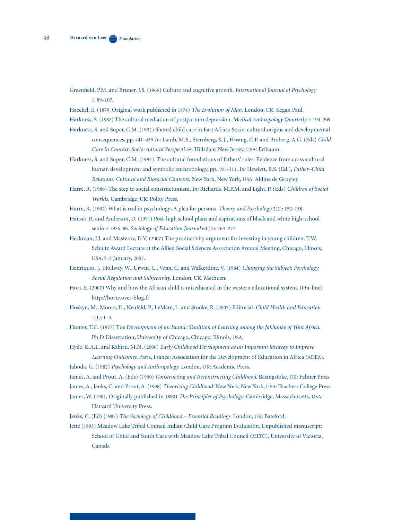- Greenfield, P.M. and Bruner. J.S. (1966) Culture and cognitive growth. *International Journal of Psychology* 1: 89–107.
- Haeckel, E. (1879, Original work published in 1874) *The Evolution of Man.* London, UK: Kegan Paul.
- Harkness, S. (1987) The cultural mediation of postpartum depression. *Medical Anthropology Quarterly* 1: 194–209.
- Harkness, S. and Super, C.M. (1992) Shared child care in East Africa: Socio-cultural origins and developmental consequences, pp. 441–459 *In:* Lamb, M.E., Sternberg, K.J., Hwang, C.P. and Broberg, A.G. (Eds) *Child Care in Context: Socio-cultural Perspectives.* Hillsdale, New Jersey, USA: Erlbaum.
- Harkness, S. and Super, C.M. (1992). The cultural foundations of fathers' roles: Evidence from cross-cultural human development and symbolic anthropology, pp. 191–211. *In:* Hewlett, B.S. (Ed.), *Father–Child Relations: Cultural and Biosocial Contexts.* New York, New York, USA: Aldine de Gruyter.
- Harre, R. (1986) The step to social constructionism. *In:* Richards, M.P.M. and Light, P. (Eds) *Children of Social Worlds.* Cambridge, UK: Polity Press.
- Harre, R. (1992) What is real in psychology: A plea for persons. *Theory and Psychology* 2(2): 152–158.
- Hauser, R. and Anderson, D. (1991) Post-high school plans and aspirations of black and white high-school seniors 1976–86. *Sociology of Education Journal* 64 (4): 263–277.
- Heckman, J.J. and Masterov, D.V. (2007) The productivity argument for investing in young children. T.W. Schultz Award Lecture at the Allied Social Sciences Association Annual Meeting, Chicago, Illinois, USA, 5–7 January, 2007.
- Henriques, J., Hollway, W., Urwin, C., Venn, C. and Walkerdine. V. (1984) *Changing the Subject: Psychology, Social Regulation and Subjectivity.* London, UK: Methuen.
- Hort, E. (2007) Why and how the African child is miseducated in the western educational system. (On-line) http://horte.over-blog.fr
- Hoskyn, M., Moore, D., Neufeld, P., LeMare, L. and Stooke, R. (2007) Editorial. *Child Health and Education*   $1(1): 1-3.$
- Hunter, T.C. (1977) T*he Development of an Islamic Tradition of Learning among the Jakhanke of West Africa.*  Ph.D Dissertation, University of Chicago, Chicago, Illinois, USA.
- Hyde, K.A.L. and Kabiru, M.N. (2006) E*arly Childhood Development as an Important Strategy to Improve Learning Outcomes.* Paris, France: Association for the Development of Education in Africa (ADEA).
- Jahoda, G. (1982) *Psychology and Anthropology.* London, UK: Academic Press.
- James, A. and Prout, A. (Eds) (1990) *Constructing and Reconstructing Childhood*. Basingstoke, UK: Falmer Press
- James, A., Jenks, C. and Prout, A. (1998) *Theorizing Childhood.* New York, New York, USA: Teachers College Press.
- James, W. (1981, Originally published in 1890) *The Principles of Psychology*, Cambridge, Massachusetts, USA: Harvard University Press.
- Jenks, C. (Ed) (1982) *The Sociology of Childhood Essential Readings.* London, UK: Batsford.
- Jette (1993) Meadow Lake Tribal Council Indian Child Care Program Evaluation. Unpublished manuscript: School of Child and Youth Care with Meadow Lake Tribal Council (MLTC), University of Victoria, Canada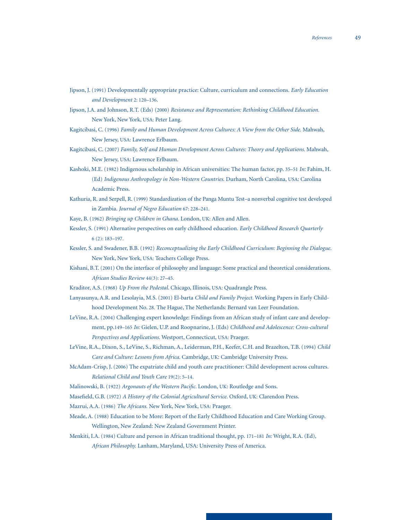- Jipson, J. (1991) Developmentally appropriate practice: Culture, curriculum and connections. *Early Education and Development* 2: 120–136.
- Jipson, J.A. and Johnson, R.T. (Eds) (2000) *Resistance and Representation: Rethinking Childhood Education.*  New York, New York, USA: Peter Lang.
- Kagitcibasi, C. (1996) *Family and Human Development Across Cultures: A View from the Other Side.* Mahwah, New Jersey, USA: Lawrence Erlbaum.
- Kagitcibasi, C. (2007) *Family, Self and Human Development Across Cultures: Theory and Applications.* Mahwah, New Jersey, USA: Lawrence Erlbaum.
- Kashoki, M.E. (1982) Indigenous scholarship in African universities: The human factor, pp. 35–51 *In:* Fahim, H. (Ed) *Indigenous Anthropology in Non-Western Countries.* Durham, North Carolina, USA: Carolina Academic Press.
- Kathuria, R. and Serpell, R. (1999) Standardization of the Panga Muntu Test–a nonverbal cognitive test developed in Zambia. *Journal of Negro Education* 67: 228–241.
- Kaye, B. (1962) *Bringing up Children in Ghana.* London, UK: Allen and Allen.
- Kessler, S. (1991) Alternative perspectives on early childhood education. *Early Childhood Research Quarterly* 6 (2): 183–197.
- Kessler, S. and Swadener, B.B. (1992) *Reconceptualizing the Early Childhood Curriculum: Beginning the Dialogue.*  New York, New York, USA: Teachers College Press.
- Kishani, B.T. (2001) On the interface of philosophy and language: Some practical and theoretical considerations. *African Studies Review* 44(3): 27–45.
- Kraditor, A.S. (1968) *Up From the Pedestal.* Chicago, Illinois, USA: Quadrangle Press.
- Lanyasunya, A.R. and Lesolayia, M.S. (2001) El-barta *Child and Family Project.* Working Papers in Early Child hood Development No. 28. The Hague, The Netherlands: Bernard van Leer Foundation.
- LeVine, R.A. (2004) Challenging expert knowledge: Findings from an African study of infant care and develop ment, pp.149–165 *In:* Gielen, U.P. and Roopnarine, J. (Eds) *Childhood and Adolescence: Cross-cultural Perspectives and Applications.* Westport, Connecticut, USA: Praeger.
- LeVine, R.A., Dixon, S., LeVine, S., Richman, A., Leiderman, P.H., Keefer, C.H. and Brazelton, T.B. (1994) *Child Care and Culture: Lessons from Africa.* Cambridge, UK: Cambridge University Press.
- McAdam-Crisp, J. (2006) The expatriate child and youth care practitioner: Child development across cultures. *Relational Child and Youth Care* 19(2): 5–14.
- Malinowski, B. (1922) *Argonauts of the Western Pacific.* London, UK: Routledge and Sons.
- Masefield, G.B. (1972) *A History of the Colonial Agricultural Service.* Oxford, UK: Clarendon Press.
- Mazrui, A.A. (1986) *The Africans.* New York, New York, USA: Praeger.
- Meade, A. (1988) Education to be More: Report of the Early Childhood Education and Care Working Group. Wellington, New Zealand: New Zealand Government Printer.
- Menkiti, I.A. (1984) Culture and person in African traditional thought, pp. 171–181 *In:* Wright, R.A. (Ed), *African Philosophy.* Lanham, Maryland, USA: University Press of America.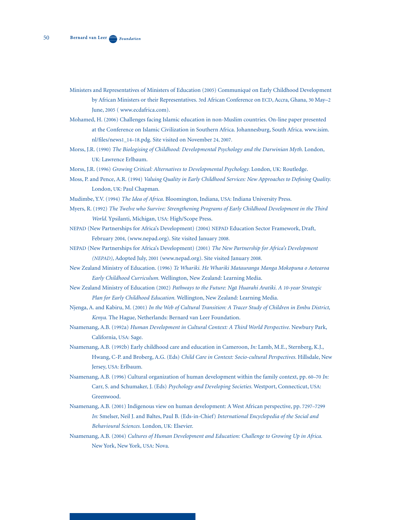- Ministers and Representatives of Ministers of Education (2005) Communiqué on Early Childhood Development by African Ministers or their Representatives. 3rd African Conference on ECD, Accra, Ghana, 30 May–2 June, 2005 ( www.ecdafrica.com).
- Mohamed, H. (2006) Challenges facing Islamic education in non-Muslim countries. On-line paper presented at the Conference on Islamic Civilization in Southern Africa. Johannesburg, South Africa. www.isim. nl/files/news1\_14–18.pdg. Site visited on November 24, 2007.
- Morss, J.R. (1990) *The Biologising of Childhood: Developmental Psychology and the Darwinian Myth.* London, UK: Lawrence Erlbaum.
- Morss, J.R. (1996) *Growing Critical: Alternatives to Developmental Psychology.* London, UK: Routledge.
- Moss, P. and Pence, A.R. (1994) *Valuing Quality in Early Childhood Services: New Approaches to Defining Quality.* London, UK: Paul Chapman.
- Mudimbe, Y.V. (1994) *The Idea of Africa.* Bloomington, Indiana, USA: Indiana University Press.
- Myers, R. (1992) *The Twelve who Survive: Strengthening Programs of Early Childhood Development in the Third World.* Ypsilanti, Michigan, USA: High/Scope Press.
- NEPAD (New Partnerships for Africa's Development) (2004) NEPAD Education Sector Framework, Draft, February 2004, (www.nepad.org). Site visited January 2008.
- NEPAD (New Partnerships for Africa's Development) (2001) *The New Partnership for Africa's Development (NEPAD),* Adopted July, 2001 (www.nepad.org). Site visited January 2008.
- New Zealand Ministry of Education. (1996) *Te Whariki. He Whariki Matauranga Manga Mokopuna o Aotearoa Early Childhood Curriculum.* Wellington, New Zealand: Learning Media.
- New Zealand Ministry of Education (2002) *Pathways to the Future: Ngā Huarahi Aratiki. A 10-year Strategic Plan for Early Childhood Education.* Wellington, New Zealand: Learning Media.
- Njenga, A. and Kabiru, M. (2001) *In the Web of Cultural Transition: A Tracer Study of Children in Embu District, Kenya.* The Hague, Netherlands: Bernard van Leer Foundation.
- Nsamenang, A.B. (1992a) *Human Development in Cultural Context: A Third World Perspective.* Newbury Park, California, USA: Sage.
- Nsamenang, A.B. (1992b) Early childhood care and education in Cameroon, *In:* Lamb, M.E., Sternberg, K.J., Hwang, C-P. and Broberg, A.G. (Eds) *Child Care in Context: Socio-cultural Perspectives.* Hillsdale, New Jersey, USA: Erlbaum.
- Nsamenang, A.B. (1996) Cultural organization of human development within the family context, pp. 60–70 *In:* Carr, S. and Schumaker, J. (Eds) *Psychology and Developing Societies.* Westport, Connecticut, USA: Greenwood.
- Nsamenang, A.B. (2001) Indigenous view on human development: A West African perspective, pp. 7297–7299 *In:* Smelser, Neil J. and Baltes, Paul B. (Eds-in-Chief) *International Encyclopedia of the Social and Behavioural Sciences.* London, UK: Elsevier.
- Nsamenang, A.B. (2004) *Cultures of Human Development and Education: Challenge to Growing Up in Africa.*  New York, New York, USA: Nova.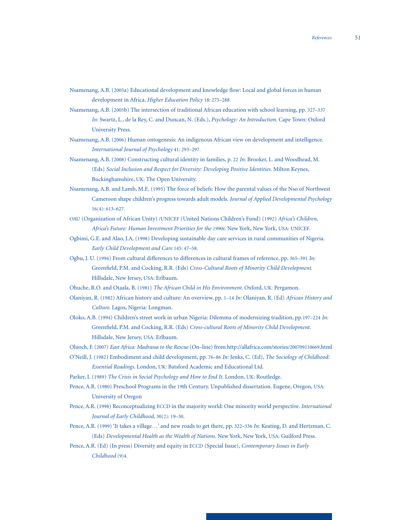- Nsamenang, A.B. (2005a) Educational development and knowledge flow: Local and global forces in human development in Africa. *Higher Education Policy* 18: 275–288.
- Nsamenang, A.B. (2005b) The intersection of traditional African education with school learning, pp. 327–337 *In:* Swartz, L., de la Rey, C. and Duncan, N. (Eds.), *Psychology: An Introduction.* Cape Town: Oxford University Press.
- Nsamenang, A.B. (2006) Human ontogenesis: An indigenous African view on development and intelligence. *International Journal of Psychology* 41: 293–297.
- Nsamenang, A.B. (2008) Constructing cultural identity in families, p. 22 *In:* Brooker, L. and Woodhead, M. (Eds) *Social Inclusion and Respect for Diversity: Developing Positive Identities.* Milton Keynes, Buckinghamshire, UK: The Open University.
- Nsamenang, A.B. and Lamb, M.E. (1995) The force of beliefs: How the parental values of the Nso of Northwest Cameroon shape children's progress towards adult models. *Journal of Applied Developmental Psychology*  16(4): 613–627.
- OAU (Organization of African Unity) /UNICEF (United Nations Children's Fund) (1992) *Africa's Children, Africa's Future: Human Investment Priorities for the 1990s.* New York, New York, USA: UNICEF.
- Ogbimi, G.E. and Alao, J.A. (1998) Developing sustainable day care services in rural communities of Nigeria. *Early Child Development and Care* 145: 47–58.
- Ogbu, J. U. (1994) From cultural differences to differences in cultural frames of reference, pp. 365–391 *In:* Greenfield, P.M. and Cocking, R.R. (Eds) *Cross-Cultural Roots of Minority Child Development.*  Hillsdale, New Jersey, USA: Erlbaum.
- Ohuche, R.O. and Otaala, B. (1981) *The African Child in His Environment.* Oxford, UK: Pergamon.
- Olaniyan, R. (1982) African history and culture: An overview, pp. 1–14 *In:* Olaniyan, R. (Ed) *African History and Culture*. Lagos, Nigeria: Longman.
- Oloko, A.B. (1994) Children's street work in urban Nigeria: Dilemma of modernizing tradition, pp.197–224 *In:*  Greenfield, P.M. and Cocking, R.R. (Eds) *Cross-cultural Roots of Minority Child Development.*  Hillsdale, New Jersey, USA: Erlbaum.
- Oluoch, F. (2007) *East Africa: Madrassa to the Rescue* (On–line) from http://allafrica.com/stories/200709110669.html
- O'Neill, J. (1982) Embodiment and child development, pp. 76–86 *In:* Jenks, C. (Ed), *The Sociology of Childhood: Essential Readings.* London, UK: Batsford Academic and Educational Ltd.
- Parker, I. (1989) *The Crisis in Social Psychology and How to End It.* London, UK: Routledge.
- Pence, A.R. (1980) Preschool Programs in the 19th Century. Unpublished dissertation. Eugene, Oregon, USA: University of Oregon
- Pence, A.R. (1998) Reconceptualizing ECCD in the majority world: One minority world perspective. *International Journal of Early Childhood,* 30(2): 19–30.
- Pence, A.R. (1999) 'It takes a village…' and new roads to get there, pp. 322–336 *In:* Keating, D. and Hertzman, C. (Eds) *Developmental Health as the Wealth of Nations.* New York, New York, USA: Guilford Press.
- Pence, A.R. (Ed) (In press) Diversity and equity in ECCD (Special Issue), *Contemporary Issues in Early Childhood* (9)4.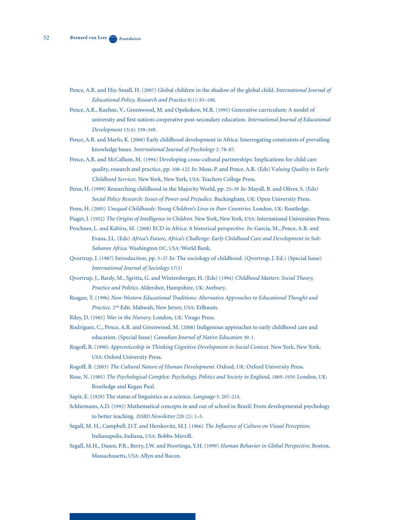- Pence, A.R. and Hix-Small, H. (2007) Global children in the shadow of the global child. *International Journal of Educational Policy, Research and Practice* 8(1): 83–100.
- Pence, A.R., Kuehne, V., Greenwood, M. and Opekokew, M.R. (1993) Generative curriculum: A model of university and first nations cooperative post-secondary education. *International Journal of Educational Development* 13(4): 339–349.
- Pence, A.R. and Marfo, K. (2008) Early childhood development in Africa: Interrogating constraints of prevailing knowledge bases. *International Journal of Psychology* 2: 78–87.
- Pence, A.R. and McCallum, M. (1994) Developing cross-cultural partnerships: Implications for child care quality, research and practice, pp. 108–122 *In:* Moss, P. and Pence, A.R. (Eds) V*aluing Quality in Early Childhood Services.* New York, New York, USA: Teachers College Press.
- Penn, H. (1999) Researching childhood in the Majority World, pp. 25–39 *In:* Mayall, B. and Oliver, S. (Eds) *Social Policy Research: Issues of Power and Prejudice.* Buckingham, UK: Open University Press.
- Penn, H. (2005) *Unequal Childhoods: Young Children's Lives in Poor Countries.* London, UK: Routledge.
- Piaget, J. (1952) *The Origins of Intelligence in Children.* New York, New York, USA: International Universities Press.
- Prochner, L. and Kabiru, M. (2008) ECD in Africa: A historical perspective. *In:* Garcia, M., Pence, A.R. and Evans, J.L. (Eds) *Africa's Future, Africa's Challenge: Early Childhood Care and Development in Sub- Saharan Africa.* Washington DC, USA: World Bank.
- Qvortrup, J. (1987) Introduction, pp. 3–37 *In:* The sociology of childhood. (Qvortrup, J. Ed.) (Special Issue) *International Journal of Sociology* 17(3)
- Qvortrup, J., Bardy, M., Sgritta, G. and Wintersberger, H. (Eds) (1994) *Childhood Matters: Social Theory, Practice and Politics.* Aldershot, Hampshire, UK: Avebury.
- Reagan, T. (1996) *Non-Western Educational Traditions: Alternative Approaches to Educational Thought and Practice.* 2nd Edn. Mahwah, New Jersey, USA: Erlbaum.
- Riley, D. (1983) *War in the Nursery.* London, UK: Virago Press.
- Rodriguez, C., Pence, A.R. and Greenwood, M. (2008) Indigenous approaches to early childhood care and education. (Special Issue) *Canadian Journal of Native Education* 30: 1.
- Rogoff, B. (1990) *Apprenticeship in Thinking Cognitive Development in Social Context.* New York, New York, USA: Oxford University Press.
- Rogoff, B. (2003) *The Cultural Nature of Human Development.* Oxford, UK: Oxford University Press.
- Rose, N. (1985) *The Psychological Complex: Psychology, Politics and Society in England, 1869-1939*. London, UK: Routledge and Kegan Paul.
- Sapir, E. (1929) The status of linguistics as a science. *Language* 5: 207–214.
- Schliemann, A.D. (1992) Mathematical concepts in and out of school in Brazil: From developmental psychology to better teaching. *ISSBD Newsletter* 220 (2): 1–3.
- Segall, M. H., Campbell, D.T. and Herskovitz, M.J. (1966) *The Influence of Culture on Visual Perception.*  Indianapolis, Indiana, USA: Bobbs-Merrill.
- Segall, M.H., Dasen, P.R., Berry, J.W. and Poortinga, Y.H. (1999) *Human Behavior in Global Perspective*. Boston, Massachusetts, USA: Allyn and Bacon.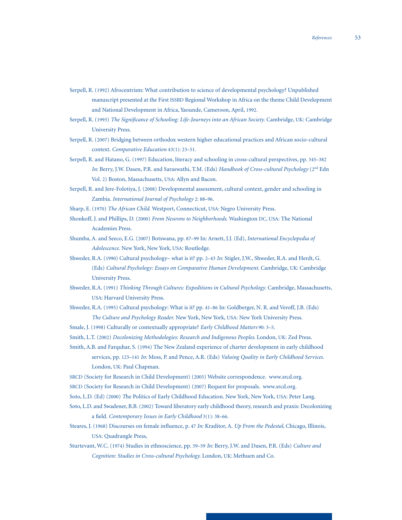- Serpell, R. (1992) Afrocentrism: What contribution to science of developmental psychology? Unpublished manuscript presented at the First ISSBD Regional Workshop in Africa on the theme Child Development and National Development in Africa, Yaounde, Cameroon, April, 1992.
- Serpell, R. (1993) *The Significance of Schooling: Life-Journeys into an African Society.* Cambridge, UK: Cambridge University Press.
- Serpell, R. (2007) Bridging between orthodox western higher educational practices and African socio-cultural context. *Comparative Education* 43(1): 23–51.
- Serpell, R. and Hatano, G. (1997) Education, literacy and schooling in cross-cultural perspectives, pp. 345–382 *In:* Berry, J.W. Dasen, P.R. and Saraswathi, T.M. (Eds) *Handbook of Cross-cultural Psychology* (2nd Edn Vol. 2) Boston, Massachusetts, USA: Allyn and Bacon.
- Serpell, R. and Jere-Folotiya, J. (2008) Developmental assessment, cultural context, gender and schooling in Zambia. *International Journal of Psychology* 2: 88–96.
- Sharp, E. (1970) *The African Child.* Westport, Connecticut, USA: Negro University Press.
- Shonkoff, J. and Phillips, D. (2000) *From Neurons to Neighborhoods.* Washington DC, USA: The National Academies Press.
- Shumba, A. and Seeco, E.G. (2007) Botswana, pp. 87–99 In: Arnett, J.J. (Ed), *International Encyclopedia of Adolescence.* New York, New York, USA: Routledge.
- Shweder, R.A. (1990) Cultural psychology– what is it? pp. 2–43 *In:* Stigler, J.W., Shweder, R.A. and Herdt, G. (Eds) *Cultural Psychology: Essays on Comparative Human Development.* Cambridge, UK: Cambridge University Press.
- Shweder, R.A. (1991) *Thinking Through Cultures: Expeditions in Cultural Psychology.* Cambridge, Massachusetts, USA: Harvard University Press.
- Shweder, R.A. (1995) Cultural psychology: What is it? pp. 41–86 In: Goldberger, N. R. and Veroff, J.B. (Eds) *The Culture and Psychology Reader.* New York, New York, USA: New York University Press.
- Smale, J. (1998) Culturally or contextually appropriate? *Early Childhood Matters* 90: 3–5.
- Smith, L.T. (2002) *Decolonizing Methodologies: Research and Indigenous Peoples*. London, UK: Zed Press.
- Smith, A.B. and Farquhar, S. (1994) The New Zealand experience of charter development in early childhood services, pp. 123-141 In: Moss, P. and Pence, A.R. (Eds) *Valuing Quality in Early Childhood Services*. London, UK: Paul Chapman.
- SRCD (Society for Research in Child Development) (2005) Website correspondence. www.srcd.org.
- SRCD (Society for Research in Child Development) (2007) Request for proposals. www.srcd.org.
- Soto, L.D. (Ed) (2000) *T*he Politics of Early Childhood Education. New York, New York, USA: Peter Lang.
- Soto, L.D. and Swadener, B.B. (2002) Toward liberatory early childhood theory, research and praxis: Decolonizing a field. *Contemporary Issues in Early Childhood* 3(1): 38–66.
- Steares, J. (1968) Discourses on female influence, p. 47 *In:* Kraditor, A. *Up From the Pedestal,* Chicago, Illinois, USA: Quadrangle Press,
- Sturtevant, W.C. (1974) Studies in ethnoscience, pp. 39–59 *In:* Berry, J.W. and Dasen, P.R. (Eds) *Culture and Cognition: Studies in Cross-cultural Psychology.* London, UK: Methuen and Co.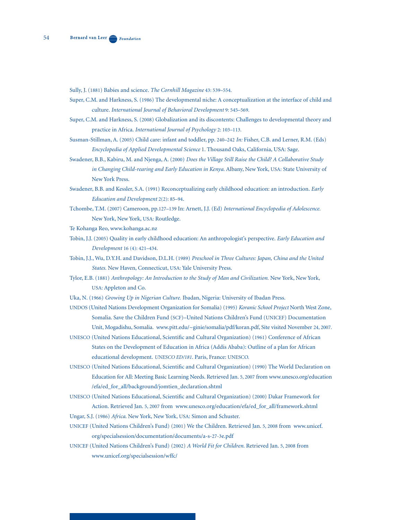- Sully, J. (1881) Babies and science. *The Cornhill Magazine* 43: 539–554.
- Super, C.M. and Harkness, S. (1986) The developmental niche: A conceptualization at the interface of child and culture. *International Journal of Behavioral Development* 9: 545–569.
- Super, C.M. and Harkness, S. (2008) Globalization and its discontents: Challenges to developmental theory and practice in Africa. *International Journal of Psychology* 2: 103–113.
- Susman-Stillman, A. (2005) Child care: infant and toddler, pp. 240–242 *In:* Fisher, C.B. and Lerner, R.M. (Eds) *Encyclopedia of Applied Developmental Science* 1. Thousand Oaks, California, USA: Sage.
- Swadener, B.B., Kabiru, M. and Njenga, A. (2000) *Does the Village Still Raise the Child? A Collaborative Study in Changing Child-rearing and Early Education in Kenya.* Albany, New York, USA: State University of New York Press.
- Swadener, B.B. and Kessler, S.A. (1991) Reconceptualizing early childhood education: an introduction. *Early Education and Development* 2(2): 85–94.
- Tchombe, T.M. (2007) Cameroon, pp.127–139 In: Arnett, J.J. (Ed) *International Encyclopedia of Adolescence.*  New York, New York, USA: Routledge.
- Te Kohanga Reo, www.kohanga.ac.nz
- Tobin, J.J. (2005) Quality in early childhood education: An anthropologist's perspective. *Early Education and Development* 16 (4): 421–434.
- Tobin, J.J., Wu, D.Y.H. and Davidson, D.L.H. (1989) *Preschool in Three Cultures: Japan, China and the United States.* New Haven, Connecticut, USA: Yale University Press.
- Tylor, E.B. (1881) *Anthropology: An Introduction to the Study of Man and Civilization.* New York, New York, USA: Appleton and Co.

Uka, N. (1966) *Growing Up in Nigerian Culture.* Ibadan, Nigeria: University of Ibadan Press.

- UNDOS (United Nations Development Organization for Somalia) (1995) *Koranic School Project* North West Zone, Somalia. Save the Children Fund (SCF)–United Nations Children's Fund (UNICEF) Documentation Unit, Mogadishu, Somalia. www.pitt.edu/~ginie/somalia/pdf/koran.pdf, Site visited November 24, 2007.
- UNESCO (United Nations Educational, Scientific and Cultural Organization) (1961) Conference of African States on the Development of Education in Africa (Addis Ababa): Outline of a plan for African educational development. *UNESCO ED/181.* Paris, France: UNESCO.
- UNESCO (United Nations Educational, Scientific and Cultural Organization) (1990) The World Declaration on Education for All: Meeting Basic Learning Needs. Retrieved Jan. 5, 2007 from www.unesco.org/education /efa/ed\_for\_all/background/jomtien\_declaration.shtml
- UNESCO (United Nations Educational, Scientific and Cultural Organization) (2000) Dakar Framework for Action. Retrieved Jan. 5, 2007 from www.unesco.org/education/efa/ed\_for\_all/framework.shtml
- Ungar, S.J. (1986) *Africa*. New York, New York, USA: Simon and Schuster.
- UNICEF (United Nations Children's Fund) (2001) We the Children. Retrieved Jan. 5, 2008 from www.unicef. org/specialsession/documentation/documents/a-s-27-3e.pdf
- UNICEF (United Nations Children's Fund) (2002) *A World Fit for Children.* Retrieved Jan. 5, 2008 from www.unicef.org/specialsession/wffc/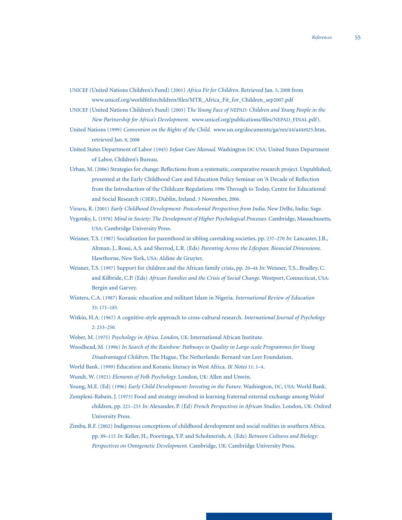UNICEF (United Nations Children's Fund) (2001) *Africa Fit for Children.* Retrieved Jan. 5, 2008 from www.unicef.org/worldfitforchildren/files/MTR\_Africa\_Fit\_for\_Children\_sep2007.pdf

UNICEF (United Nations Children's Fund) (2003) T*he Young Face of NEPAD: Children and Young People in the New Partnership for Africa's Development.* www.unicef.org/publications/files/NEPAD\_FINAL.pdf).

United Nations (1999) *Convention on the Rights of the Child.* www.un.org/documents/ga/res/44/a44r025.htm, retrieved Jan. 8, 2008

United States Department of Labor (1945) *Infant Care Manual.* Washington DC USA: United States Department of Labor, Children's Bureau.

Urban, M. (2006) Strategies for change: Reflections from a systematic, comparative research project. Unpublished, presented at the Early Childhood Care and Education Policy Seminar on 'A Decade of Reflection from the Introduction of the Childcare Regulations 1996 Through to Today, Centre for Educational and Social Research (CSER), Dublin, Ireland. 3 November, 2006.

Viruru, R. (2001) *Early Childhood Development: Postcolonial Perspectives from India.* New Delhi, India: Sage.

Vygotsky, L. (1978) *Mind in Society: The Development of Higher Psychological Processes.* Cambridge, Massachusetts, USA: Cambridge University Press.

Weisner, T.S. (1987) Socialization for parenthood in sibling caretaking societies, pp. 237–270 *In:* Lancaster, J.B., Altman, J., Rossi, A.S. and Sherrod, L.R. (Eds) *Parenting Across the Lifespan: Biosocial Dimensions.*  Hawthorne, New York, USA: Aldine de Gruyter.

- Weisner, T.S. (1997) Support for children and the African family crisis, pp. 20–44 *In:* Weisner, T.S., Bradley, C. and Kilbride, C.P. (Eds) *African Families and the Crisis of Social Change.* Westport, Connecticut, USA: Bergin and Garvey.
- Winters, C.A. (1987) Koranic education and militant Islam in Nigeria. *International Review of Education* 33: 171–185.
- Witkin, H.A. (1967) A cognitive-style approach to cross-cultural research. *International Journal of Psychology* 2: 233–250.

Wober, M. (1975) *Psychology in Africa. London*, UK: International African Institute.

- Woodhead, M. (1996) *In Search of the Rainbow: Pathways to Quality in Large-scale Programmes for Young Disadvantaged Children.* The Hague, The Netherlands: Bernard van Leer Foundation.
- World Bank. (1999) Education and Koranic literacy in West Africa. *IK Notes* 11: 1–4.

Wundt, W. (1921) *Elements of Folk Psychology.* London, UK: Allen and Unwin.

Young, M.E. (Ed) (1996) *Early Child Development: Investing in the Future.* Washington, DC, USA: World Bank.

Zempleni-Rabain, J. (1973) Food and strategy involved in learning fraternal external exchange among Wolof children, pp. 221–233 *In:* Alexander, P. (Ed) *French Perspectives in African Studies.* London, UK: Oxford University Press.

Zimba, R.F. (2002) Indigenous conceptions of childhood development and social realities in southern Africa. pp. 89–115 *In:* Keller, H., Poortinga, Y.P. and Scholmerish, A. (Eds) *Between Cultures and Biology: Perspectives on Ontogenetic Development.* Cambridge, UK: Cambridge University Press.